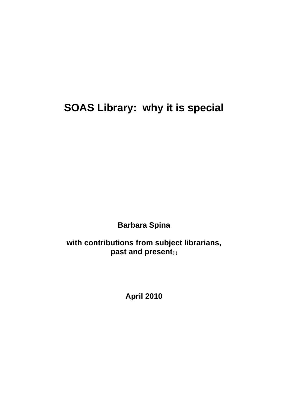# **SOAS Library: why it is special**

**Barbara Spina**

**with contributions from subject librarians, past and present(1)**

**April 2010**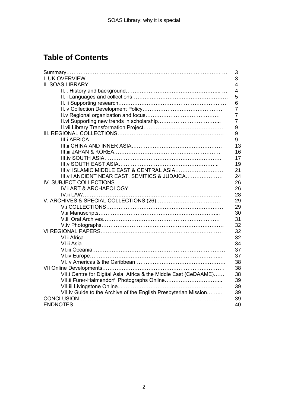# **Table of Contents**

|                                                                   | 3              |
|-------------------------------------------------------------------|----------------|
|                                                                   | 3              |
|                                                                   | $\overline{4}$ |
|                                                                   | 4              |
|                                                                   | 5              |
|                                                                   | 6              |
|                                                                   | $\overline{7}$ |
|                                                                   | $\overline{7}$ |
|                                                                   | $\overline{7}$ |
|                                                                   | 9              |
|                                                                   | 9              |
|                                                                   | 9              |
|                                                                   | 13             |
|                                                                   | 16             |
|                                                                   | 17             |
|                                                                   | 19             |
| III. vi ISLAMIC MIDDLE EAST & CENTRAL ASIA                        | 21             |
| III. vii ANCIENT NEAR EAST, SEMITICS & JUDAICA                    | 24             |
|                                                                   | 26             |
|                                                                   | 26             |
|                                                                   | 28             |
|                                                                   | 29             |
|                                                                   | 29             |
|                                                                   | 30             |
|                                                                   | 31             |
|                                                                   | 32             |
|                                                                   | 32             |
|                                                                   | 32             |
|                                                                   | 34             |
|                                                                   | 37             |
|                                                                   | 37             |
|                                                                   | 38             |
|                                                                   | 38             |
| VII.i Centre for Digital Asia, Africa & the Middle East (CeDAAME) | 38             |
|                                                                   | 39             |
|                                                                   | 39             |
| VII.iv Guide to the Archive of the English Presbyterian Mission   | 39             |
|                                                                   | 39             |
|                                                                   | 40             |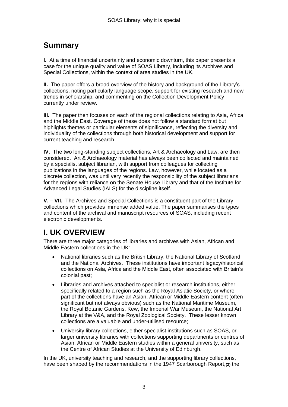# **Summary**

**I.** At a time of financial uncertainty and economic downturn, this paper presents a case for the unique quality and value of SOAS Library, including its Archives and Special Collections, within the context of area studies in the UK.

**II.** The paper offers a broad overview of the history and background of the Library"s collections, noting particularly language scope, support for existing research and new trends in scholarship, and commenting on the Collection Development Policy currently under review.

**III.** The paper then focuses on each of the regional collections relating to Asia, Africa and the Middle East. Coverage of these does not follow a standard format but highlights themes or particular elements of significance, reflecting the diversity and individuality of the collections through both historical development and support for current teaching and research.

**IV.** The two long-standing subject collections, Art & Archaeology and Law, are then considered. Art & Archaeology material has always been collected and maintained by a specialist subject librarian, with support from colleagues for collecting publications in the languages of the regions. Law, however, while located as a discrete collection, was until very recently the responsibility of the subject librarians for the regions with reliance on the Senate House Library and that of the Institute for Advanced Legal Studies (IALS) for the discipline itself.

**V. – VII.** The Archives and Special Collections is a constituent part of the Library collections which provides immense added value. The paper summarises the types and content of the archival and manuscript resources of SOAS, including recent electronic developments.

# **I. UK OVERVIEW**

There are three major categories of libraries and archives with Asian, African and Middle Eastern collections in the UK:

- National libraries such as the British Library, the National Library of Scotland and the National Archives. These institutions have important legacy/historical collections on Asia, Africa and the Middle East, often associated with Britain"s colonial past;
- Libraries and archives attached to specialist or research institutions, either specifically related to a region such as the Royal Asiatic Society, or where part of the collections have an Asian, African or Middle Eastern content (often significant but not always obvious) such as the National Maritime Museum, the Royal Botanic Gardens, Kew, the Imperial War Museum, the National Art Library at the V&A, and the Royal Zoological Society. These lesser known collections are a valuable and under-utilised resource;
- University library collections, either specialist institutions such as SOAS, or larger university libraries with collections supporting departments or centres of Asian, African or Middle Eastern studies within a general university, such as the Centre of African Studies at the University of Edinburgh.

In the UK, university teaching and research, and the supporting library collections, have been shaped by the recommendations in the 1947 Scarborough Report,**(2)** the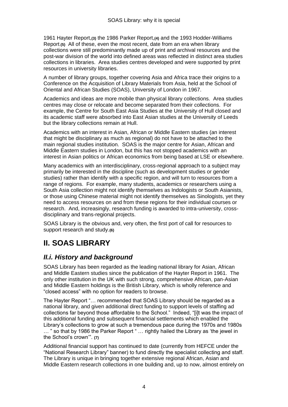1961 Hayter Report,**(3)** the 1986 Parker Report,**(4)** and the 1993 Hodder-Williams Report.**(5)** All of these, even the most recent, date from an era when library collections were still predominantly made up of print and archival resources and the post-war division of the world into defined areas was reflected in distinct area studies collections in libraries. Area studies centres developed and were supported by print resources in university libraries.

A number of library groups, together covering Asia and Africa trace their origins to a Conference on the Acquisition of Library Materials from Asia, held at the School of Oriental and African Studies (SOAS), University of London in 1967.

Academics and ideas are more mobile than physical library collections. Area studies centres may close or relocate and become separated from their collections. For example, the Centre for South East Asia Studies at the University of Hull closed and its academic staff were absorbed into East Asian studies at the University of Leeds but the library collections remain at Hull.

Academics with an interest in Asian, African or Middle Eastern studies (an interest that might be disciplinary as much as regional) do not have to be attached to the main regional studies institution. SOAS is the major centre for Asian, African and Middle Eastern studies in London, but this has not stopped academics with an interest in Asian politics or African economics from being based at LSE or elsewhere.

Many academics with an interdisciplinary, cross-regional approach to a subject may primarily be interested in the discipline (such as development studies or gender studies) rather than identify with a specific region, and will turn to resources from a range of regions. For example, many students, academics or researchers using a South Asia collection might not identify themselves as Indologists or South Asianists, or those using Chinese material might not identify themselves as Sinologists, yet they need to access resources on and from these regions for their individual courses or research. And, increasingly, research funding is awarded to intra-university, crossdisciplinary and trans-regional projects.

SOAS Library is the obvious and, very often, the first port of call for resources to support research and study.**(6)**

# **II. SOAS LIBRARY**

# *II.i. History and background*

SOAS Library has been regarded as the leading national library for Asian, African and Middle Eastern studies since the publication of the Hayter Report in 1961. The only other institution in the UK with such strong, comprehensive African, pan-Asian and Middle Eastern holdings is the British Library, which is wholly reference and "closed access" with no option for readers to browse.

The Hayter Report "… recommended that SOAS Library should be regarded as a national library, and given additional direct funding to support levels of staffing ad collections far beyond those affordable to the School." Indeed, "[i]t was the impact of this additional funding and subsequent financial settlements which enabled the Library"s collections to grow at such a tremendous pace during the 1970s and 1980s … " so that by 1986 the Parker Report " … rightly hailed the Library as "the jewel in the School"s crown"". **(7)**

Additional financial support has continued to date (currently from HEFCE under the "National Research Library" banner) to fund directly the specialist collecting and staff. The Library is unique in bringing together extensive regional African, Asian and Middle Eastern research collections in one building and, up to now, almost entirely on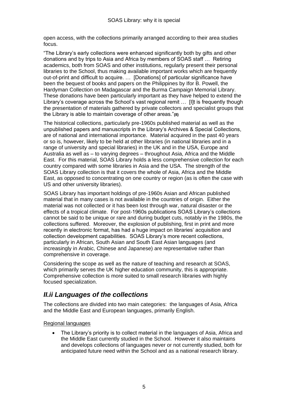open access, with the collections primarily arranged according to their area studies focus.

"The Library"s early collections were enhanced significantly both by gifts and other donations and by trips to Asia and Africa by members of SOAS staff … Retiring academics, both from SOAS and other institutions, regularly present their personal libraries to the School, thus making available important works which are frequently out-of-print and difficult to acquire. … [Donations] of particular significance have been the bequest of books and papers on the Philippines by Ifor B. Powell, the Hardyman Collection on Madagascar and the Burma Campaign Memorial Library. These donations have been particularly important as they have helped to extend the Library's coverage across the School's vast regional remit ... [I]t is frequently though the presentation of materials gathered by private collectors and specialist groups that the Library is able to maintain coverage of other areas."**(8)**

The historical collections, particularly pre-1960s published material as well as the unpublished papers and manuscripts in the Library"s Archives & Special Collections, are of national and international importance. Material acquired in the past 40 years or so is, however, likely to be held at other libraries (in national libraries and in a range of university and special libraries) in the UK and in the USA, Europe and Australia as well as – to varying degrees – throughout Asia, Africa and the Middle East. For this material, SOAS Library holds a less comprehensive collection for each country compared with some libraries in Asia and the USA. The strength of the SOAS Library collection is that it covers the whole of Asia, Africa and the Middle East, as opposed to concentrating on one country or region (as is often the case with US and other university libraries).

SOAS Library has important holdings of pre-1960s Asian and African published material that in many cases is not available in the countries of origin. Either the material was not collected or it has been lost through war, natural disaster or the effects of a tropical climate. For post-1960s publications SOAS Library"s collections cannot be said to be unique or rare and during budget cuts, notably in the 1980s, the collections suffered. Moreover, the explosion of publishing, first in print and more recently in electronic format, has had a huge impact on libraries' acquisition and collection development capabilities. SOAS Library"s more recent collections, particularly in African, South Asian and South East Asian languages (and increasingly in Arabic, Chinese and Japanese) are representative rather than comprehensive in coverage.

Considering the scope as well as the nature of teaching and research at SOAS, which primarily serves the UK higher education community, this is appropriate. Comprehensive collection is more suited to small research libraries with highly focused specialization.

## *II.ii Languages of the collections*

The collections are divided into two main categories: the languages of Asia, Africa and the Middle East and European languages, primarily English.

Regional languages

 The Library"s priority is to collect material in the languages of Asia, Africa and the Middle East currently studied in the School. However it also maintains and develops collections of languages never or not currently studied, both for anticipated future need within the School and as a national research library.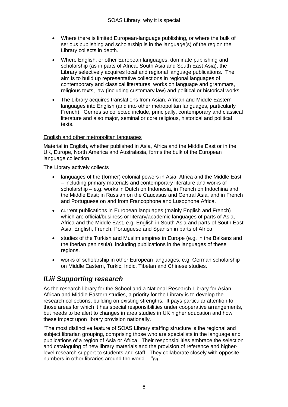- Where there is limited European-language publishing, or where the bulk of serious publishing and scholarship is in the language(s) of the region the Library collects in depth.
- Where English, or other European languages, dominate publishing and scholarship (as in parts of Africa, South Asia and South East Asia), the Library selectively acquires local and regional language publications. The aim is to build up representative collections in regional languages of contemporary and classical literatures, works on language and grammars, religious texts, law (including customary law) and political or historical works.
- The Library acquires translations from Asian, African and Middle Eastern languages into English (and into other metropolitan languages, particularly French). Genres so collected include, principally, contemporary and classical literature and also major, seminal or core religious, historical and political texts.

#### English and other metropolitan languages

Material in English, whether published in Asia, Africa and the Middle East or in the UK, Europe, North America and Australasia, forms the bulk of the European language collection.

The Library actively collects

- languages of the (former) colonial powers in Asia, Africa and the Middle East – including primary materials and contemporary literature and works of scholarship – e.g. works in Dutch on Indonesia, in French on Indochina and the Middle East; in Russian on the Caucasus and Central Asia, and in French and Portuguese on and from Francophone and Lusophone Africa.
- current publications in European languages (mainly English and French) which are official/business or literary/academic languages of parts of Asia, Africa and the Middle East, e.g. English in South Asia and parts of South East Asia; English, French, Portuguese and Spanish in parts of Africa.
- studies of the Turkish and Muslim empires in Europe (e.g. in the Balkans and the Iberian peninsula), including publications in the languages of these regions.
- works of scholarship in other European languages, e.g. German scholarship on Middle Eastern, Turkic, Indic, Tibetan and Chinese studies.

## *II.iii Supporting research*

As the research library for the School and a National Research Library for Asian, African and Middle Eastern studies, a priority for the Library is to develop the research collections, building on existing strengths. It pays particular attention to those areas for which it has special responsibilities under cooperative arrangements, but needs to be alert to changes in area studies in UK higher education and how these impact upon library provision nationally.

"The most distinctive feature of SOAS Library staffing structure is the regional and subject librarian grouping, comprising those who are specialists in the language and publications of a region of Asia or Africa. Their responsibilities embrace the selection and cataloguing of new library materials and the provision of reference and higherlevel research support to students and staff. They collaborate closely with opposite numbers in other libraries around the world …"**(9)**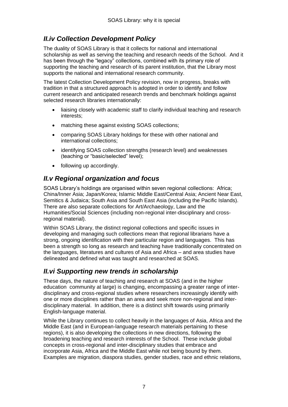# *II.iv Collection Development Policy*

The duality of SOAS Library is that it collects for national and international scholarship as well as serving the teaching and research needs of the School. And it has been through the "legacy" collections, combined with its primary role of supporting the teaching and research of its parent institution, that the Library most supports the national and international research community.

The latest Collection Development Policy revision, now in progress, breaks with tradition in that a structured approach is adopted in order to identify and follow current research and anticipated research trends and benchmark holdings against selected research libraries internationally:

- liaising closely with academic staff to clarify individual teaching and research interests;
- matching these against existing SOAS collections;
- comparing SOAS Library holdings for these with other national and international collections;
- identifying SOAS collection strengths (research level) and weaknesses (teaching or "basic/selected" level);
- following up accordingly.

## *II.v Regional organization and focus*

SOAS Library"s holdings are organised within seven regional collections: Africa; China/Inner Asia; Japan/Korea; Islamic Middle East/Central Asia; Ancient Near East, Semitics & Judaica; South Asia and South East Asia (including the Pacific Islands). There are also separate collections for Art/Archaeology, Law and the Humanities/Social Sciences (including non-regional inter-disciplinary and crossregional material).

Within SOAS Library, the distinct regional collections and specific issues in developing and managing such collections mean that regional librarians have a strong, ongoing identification with their particular region and languages. This has been a strength so long as research and teaching have traditionally concentrated on the languages, literatures and cultures of Asia and Africa – and area studies have delineated and defined what was taught and researched at SOAS.

# *II.vi Supporting new trends in scholarship*

These days, the nature of teaching and research at SOAS (and in the higher education community at large) is changing, encompassing a greater range of interdisciplinary and cross-regional studies where researchers increasingly identify with one or more disciplines rather than an area and seek more non-regional and interdisciplinary material. In addition, there is a distinct shift towards using primarily English-language material.

While the Library continues to collect heavily in the languages of Asia, Africa and the Middle East (and in European-language research materials pertaining to these regions), it is also developing the collections in new directions, following the broadening teaching and research interests of the School. These include global concepts in cross-regional and inter-disciplinary studies that embrace and incorporate Asia, Africa and the Middle East while not being bound by them. Examples are migration, diaspora studies, gender studies, race and ethnic relations,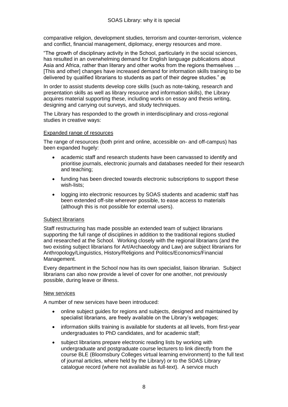comparative religion, development studies, terrorism and counter-terrorism, violence and conflict, financial management, diplomacy, energy resources and more.

"The growth of disciplinary activity in the School, particularly in the social sciences, has resulted in an overwhelming demand for English language publications about Asia and Africa, rather than literary and other works from the regions themselves … [This and other] changes have increased demand for information skills training to be delivered by qualified librarians to students as part of their degree studies." **(9)**

In order to assist students develop core skills (such as note-taking, research and presentation skills as well as library resource and information skills), the Library acquires material supporting these, including works on essay and thesis writing, designing and carrying out surveys, and study techniques.

The Library has responded to the growth in interdisciplinary and cross-regional studies in creative ways:

#### Expanded range of resources

The range of resources (both print and online, accessible on- and off-campus) has been expanded hugely:

- academic staff and research students have been canvassed to identify and prioritise journals, electronic journals and databases needed for their research and teaching;
- funding has been directed towards electronic subscriptions to support these wish-lists;
- logging into electronic resources by SOAS students and academic staff has been extended off-site wherever possible, to ease access to materials (although this is not possible for external users).

#### Subject librarians

Staff restructuring has made possible an extended team of subject librarians supporting the full range of disciplines in addition to the traditional regions studied and researched at the School. Working closely with the regional librarians (and the two existing subject librarians for Art/Archaeology and Law) are subject librarians for Anthropology/Linguistics, History/Religions and Politics/Economics/Financial Management.

Every department in the School now has its own specialist, liaison librarian. Subject librarians can also now provide a level of cover for one another, not previously possible, during leave or illness.

#### New services

A number of new services have been introduced:

- online subject guides for regions and subjects, designed and maintained by specialist librarians, are freely available on the Library's webpages;
- information skills training is available for students at all levels, from first-year undergraduates to PhD candidates, and for academic staff;
- subject librarians prepare electronic reading lists by working with undergraduate and postgraduate course lecturers to link directly from the course BLE (Bloomsbury Colleges virtual learning environment) to the full text of journal articles, where held by the Library) or to the SOAS Library catalogue record (where not available as full-text). A service much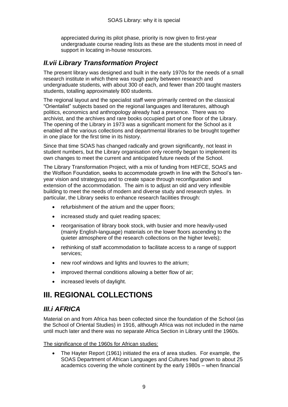appreciated during its pilot phase, priority is now given to first-year undergraduate course reading lists as these are the students most in need of support in locating in-house resources.

# *II.vii Library Transformation Project*

The present library was designed and built in the early 1970s for the needs of a small research institute in which there was rough parity between research and undergraduate students, with about 300 of each, and fewer than 200 taught masters students, totalling approximately 800 students.

The regional layout and the specialist staff were primarily centred on the classical "Orientalist" subjects based on the regional languages and literatures, although politics, economics and anthropology already had a presence. There was no archivist, and the archives and rare books occupied part of one floor of the Library. The opening of the Library in 1973 was a significant moment for the School as it enabled all the various collections and departmental libraries to be brought together in one place for the first time in its history.

Since that time SOAS has changed radically and grown significantly, not least in student numbers, but the Library organisation only recently began to implement its own changes to meet the current and anticipated future needs of the School.

The Library Transformation Project, with a mix of funding from HEFCE, SOAS and the Wolfson Foundation, seeks to accommodate growth in line with the School"s tenyear vision and strategy**(11)** and to create space through reconfiguration and extension of the accommodation. The aim is to adjust an old and very inflexible building to meet the needs of modern and diverse study and research styles. In particular, the Library seeks to enhance research facilities through:

- refurbishment of the atrium and the upper floors:
- increased study and quiet reading spaces;
- reorganisation of library book stock, with busier and more heavily-used (mainly English-language) materials on the lower floors ascending to the quieter atmosphere of the research collections on the higher levels);
- rethinking of staff accommodation to facilitate access to a range of support services;
- new roof windows and lights and louvres to the atrium;
- improved thermal conditions allowing a better flow of air;
- increased levels of daylight.

# **III. REGIONAL COLLECTIONS**

## *III.i AFRICA*

Material on and from Africa has been collected since the foundation of the School (as the School of Oriental Studies) in 1916, although Africa was not included in the name until much later and there was no separate Africa Section in Library until the 1960s.

The significance of the 1960s for African studies:

 The Hayter Report (1961) initiated the era of area studies. For example, the SOAS Department of African Languages and Cultures had grown to about 25 academics covering the whole continent by the early 1980s – when financial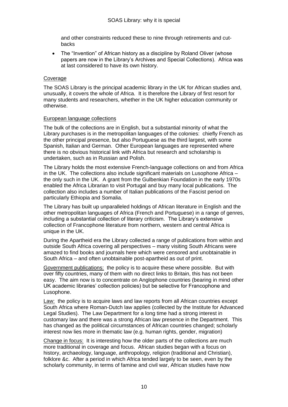and other constraints reduced these to nine through retirements and cutbacks

• The "Invention" of African history as a discipline by Roland Oliver (whose papers are now in the Library"s Archives and Special Collections). Africa was at last considered to have its own history.

#### Coverage

The SOAS Library is the principal academic library in the UK for African studies and, unusually, it covers the whole of Africa. It is therefore the Library of first resort for many students and researchers, whether in the UK higher education community or otherwise.

#### European language collections

The bulk of the collections are in English, but a substantial minority of what the Library purchases is in the metropolitan languages of the colonies: chiefly French as the other principal presence, but also Portuguese as the third largest, with some Spanish, Italian and German. Other European languages are represented where there is no obvious historical link with Africa but research and scholarship is undertaken, such as in Russian and Polish.

The Library holds the most extensive French-language collections on and from Africa in the UK. The collections also include significant materials on Lusophone Africa – the only such in the UK. A grant from the Gulbenkian Foundation in the early 1970s enabled the Africa Librarian to visit Portugal and buy many local publications. The collection also includes a number of Italian publications of the Fascist period on particularly Ethiopia and Somalia.

The Library has built up unparalleled holdings of African literature in English and the other metropolitan languages of Africa (French and Portuguese) in a range of genres, including a substantial collection of literary criticism. The Library"s extensive collection of Francophone literature from northern, western and central Africa is unique in the UK.

During the Apartheid era the Library collected a range of publications from within and outside South Africa covering all perspectives – many visiting South Africans were amazed to find books and journals here which were censored and unobtainable in South Africa – and often unobtainable post-apartheid as out of print.

Government publications: the policy is to acquire these where possible. But with over fifty countries, many of them with no direct links to Britain, this has not been easy. The aim now is to concentrate on Anglophone countries (bearing in mind other UK academic libraries" collection policies) but be selective for Francophone and Lusophone.

**Law:** the policy is to acquire laws and law reports from all African countries except South Africa where Roman-Dutch law applies (collected by the Institute for Advanced Legal Studies). The Law Department for a long time had a strong interest in customary law and there was a strong African law presence in the Department. This has changed as the political circumstances of African countries changed; scholarly interest now lies more in thematic law (e.g. human rights, gender, migration)

Change in focus: It is interesting how the older parts of the collections are much more traditional in coverage and focus. African studies began with a focus on history, archaeology, language, anthropology, religion (traditional and Christian), folklore &c. After a period in which Africa tended largely to be seen, even by the scholarly community, in terms of famine and civil war, African studies have now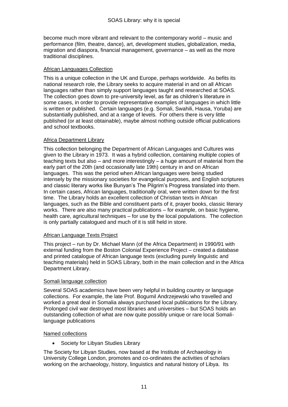become much more vibrant and relevant to the contemporary world – music and performance (film, theatre, dance), art, development studies, globalization, media, migration and diaspora, financial management, governance – as well as the more traditional disciplines.

#### African Languages Collection

This is a unique collection in the UK and Europe, perhaps worldwide. As befits its national research role, the Library seeks to acquire material in and on all African languages rather than simply support languages taught and researched at SOAS. The collection goes down to pre-university level, as far as children"s literature in some cases, in order to provide representative examples of languages in which little is written or published. Certain languages (e.g. Somali, Swahili, Hausa, Yoruba) are substantially published, and at a range of levels. For others there is very little published (or at least obtainable), maybe almost nothing outside official publications and school textbooks.

#### Africa Department Library

This collection belonging the Department of African Languages and Cultures was given to the Library in 1973. It was a hybrid collection, containing multiple copies of teaching texts but also – and more interestingly – a huge amount of material from the early part of the 20th (and occasionally late 19th) century in and on African languages. This was the period when African languages were being studied intensely by the missionary societies for evangelical purposes, and English scriptures and classic literary works like Bunyan"s The Pilgrim"s Progress translated into them. In certain cases, African languages, traditionally oral, were written down for the first time. The Library holds an excellent collection of Christian texts in African languages, such as the Bible and constituent parts of it, prayer books, classic literary works. There are also many practical publications – for example, on basic hygiene, health care, agricultural techniques – for use by the local populations. The collection is only partially catalogued and much of it is still held in store.

#### African Language Texts Project

This project – run by Dr. Michael Mann (of the Africa Department) in 1990/91 with external funding from the Boston Colonial Experience Project – created a database and printed catalogue of African language texts (excluding purely linguistic and teaching materials) held in SOAS Library, both in the main collection and in the Africa Department Library.

#### Somali language collection

Several SOAS academics have been very helpful in building country or language collections. For example, the late Prof. Bogumil Andrzejewski who travelled and worked a great deal in Somalia always purchased local publications for the Library. Prolonged civil war destroyed most libraries and universities – but SOAS holds an outstanding collection of what are now quite possibly unique or rare local Somalilanguage publications

#### Named collections

Society for Libyan Studies Library

The Society for Libyan Studies, now based at the Institute of Archaeology in University College London, promotes and co-ordinates the activities of scholars working on the archaeology, history, linguistics and natural history of Libya. Its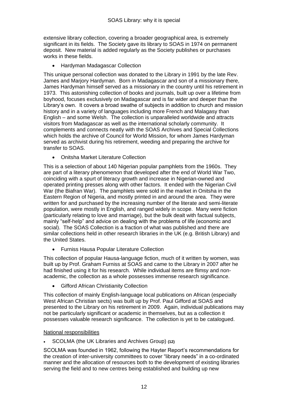extensive library collection, covering a broader geographical area, is extremely significant in its fields. The Society gave its library to SOAS in 1974 on permanent deposit. New material is added regularly as the Society publishes or purchases works in these fields.

Hardyman Madagascar Collection

This unique personal collection was donated to the Library in 1991 by the late Rev. James and Marjory Hardyman. Born in Madagascar and son of a missionary there, James Hardyman himself served as a missionary in the country until his retirement in 1973. This astonishing collection of books and journals, built up over a lifetime from boyhood, focuses exclusively on Madagascar and is far wider and deeper than the Library"s own. It covers a broad swathe of subjects in addition to church and mission history and in a variety of languages including more French and Malagasy than English – and some Welsh. The collection is unparalleled worldwide and attracts visitors from Madagascar as well as the international scholarly community. It complements and connects neatly with the SOAS Archives and Special Collections which holds the archive of Council for World Mission, for whom James Hardyman served as archivist during his retirement, weeding and preparing the archive for transfer to SOAS.

Onitsha Market Literature Collection

This is a selection of about 140 Nigerian popular pamphlets from the 1960s. They are part of a literary phenomenon that developed after the end of World War Two, coinciding with a spurt of literacy growth and increase in Nigerian-owned and operated printing presses along with other factors. It ended with the Nigerian Civil War (the Biafran War). The pamphlets were sold in the market in Onitsha in the Eastern Region of Nigeria, and mostly printed in and around the area. They were written for and purchased by the increasing number of the literate and semi-literate population, were mostly in English, and ranged widely in scope. Many were fiction (particularly relating to love and marriage), but the bulk dealt with factual subjects, mainly "self-help" and advice on dealing with the problems of life (economic and social). The SOAS Collection is a fraction of what was published and there are similar collections held in other research libraries in the UK (e.g. British Library) and the United States.

Furniss Hausa Popular Literature Collection

This collection of popular Hausa-language fiction, much of it written by women, was built up by Prof. Graham Furniss at SOAS and came to the Library in 2007 after he had finished using it for his research. While individual items are flimsy and nonacademic, the collection as a whole possesses immense research significance.

Gifford African Christianity Collection

This collection of mainly English-language local publications on African (especially West African Christian sects) was built up by Prof. Paul Gifford at SOAS and presented to the Library on his retirement in 2009. Again, individual publications may not be particularly significant or academic in themselves, but as a collection it possesses valuable research significance. The collection is yet to be catalogued.

#### National responsibilities

SCOLMA (the UK Libraries and Archives Group) **(12)**

SCOLMA was founded in 1962, following the Hayter Report"s recommendations for the creation of inter-university committees to cover "library needs" in a co-ordinated manner and the allocation of resources both to the development of existing libraries serving the field and to new centres being established and building up new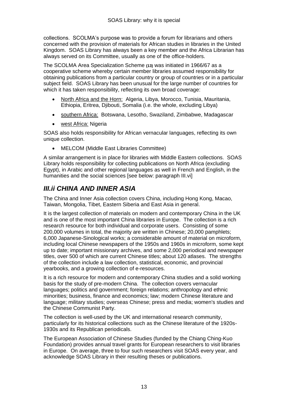collections. SCOLMA"s purpose was to provide a forum for librarians and others concerned with the provision of materials for African studies in libraries in the United Kingdom. SOAS Library has always been a key member and the Africa Librarian has always served on its Committee, usually as one of the office-holders.

The SCOLMA Area Specialization Scheme **(13)** was initiated in 1966/67 as a cooperative scheme whereby certain member libraries assumed responsibility for obtaining publications from a particular country or group of countries or in a particular subject field. SOAS Library has been unusual for the large number of countries for which it has taken responsibility, reflecting its own broad coverage:

- North Africa and the Horn: Algeria, Libya, Morocco, Tunisia, Mauritania, Ethiopia, Eritrea, Djibouti, Somalia (i.e. the whole, excluding Libya)
- southern Africa: Botswana, Lesotho, Swaziland, Zimbabwe, Madagascar
- west Africa: Nigeria

SOAS also holds responsibility for African vernacular languages, reflecting its own unique collection.

MELCOM (Middle East Libraries Committee)

A similar arrangement is in place for libraries with Middle Eastern collections. SOAS Library holds responsibility for collecting publications on North Africa (excluding Egypt), in Arabic and other regional languages as well in French and English, in the humanities and the social sciences [see below: paragraph III.vi]

# *III.ii CHINA AND INNER ASIA*

The China and Inner Asia collection covers China, including Hong Kong, Macao, Taiwan, Mongolia, Tibet, Eastern Siberia and East Asia in general.

It is the largest collection of materials on modern and contemporary China in the UK and is one of the most important China libraries in Europe. The collection is a rich research resource for both individual and corporate users. Consisting of some 200,000 volumes in total, the majority are written in Chinese; 20,000 pamphlets; 6,000 Japanese-Sinological works; a considerable amount of material on microform, including local Chinese newspapers of the 1950s and 1960s in microform, some kept up to date; important missionary archives, and some 2,000 periodical and newspaper titles, over 500 of which are current Chinese titles; about 120 atlases. The strengths of the collection include a law collection, statistical, economic, and provincial yearbooks, and a growing collection of e-resources.

It is a rich resource for modern and contemporary China studies and a solid working basis for the study of pre-modern China. The collection covers vernacular languages; politics and government; foreign relations; anthropology and ethnic minorities; business, finance and economics; law; modern Chinese literature and language; military studies; overseas Chinese; press and media; women's studies and the Chinese Communist Party.

The collection is well-used by the UK and international research community, particularly for its historical collections such as the Chinese literature of the 1920s-1930s and its Republican periodicals.

The European Association of Chinese Studies (funded by the Chiang Ching-Kuo Foundation) provides annual travel grants for European researchers to visit libraries in Europe. On average, three to four such researchers visit SOAS every year, and acknowledge SOAS Library in their resulting theses or publications.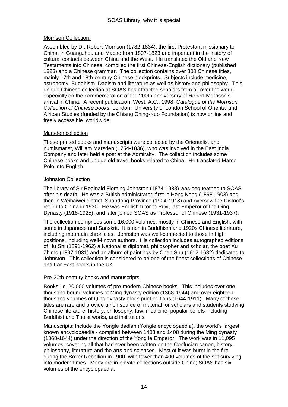#### Morrison Collection:

Assembled by Dr. Robert Morrison (1782-1834), the first Protestant missionary to China, in Guangzhou and Macao from 1807-1823 and important in the history of cultural contacts between China and the West. He translated the Old and New Testaments into Chinese, compiled the first Chinese-English dictionary (published 1823) and a Chinese grammar. The collection contains over 800 Chinese titles, mainly 17th and 18th-century Chinese blockprints. Subjects include medicine, astronomy, Buddhism, Daoism and literature as well as history and philosophy. This unique Chinese collection at SOAS has attracted scholars from all over the world especially on the commemoration of the 200th anniversary of Robert Morrison"s arrival in China. A recent publication, West, A.C., 1998, *Catalogue of the Morrison Collection of Chinese books,* London: University of London School of Oriental and African Studies (funded by the Chiang Ching-Kuo Foundation) is now online and freely accessible worldwide.

#### Marsden collection

These printed books and manuscripts were collected by the Orientalist and numismatist, William Marsden (1754-1836), who was involved in the East India Company and later held a post at the Admiralty. The collection includes some Chinese books and unique old travel books related to China. He translated Marco Polo into English.

#### Johnston Collection

The library of Sir Reginald Fleming Johnston (1874-1938) was bequeathed to SOAS after his death. He was a British administrator, first in Hong Kong (1898-1903) and then in Weihaiwei district, Shandong Province (1904-1918) and oversaw the District"s return to China in 1930. He was English tutor to Puyi, last Emperor of the Qing Dynasty (1918-1925), and later joined SOAS as Professor of Chinese (1931-1937).

The collection comprises some 16,000 volumes, mostly in Chinese and English, with some in Japanese and Sanskrit. It is rich in Buddhism and 1920s Chinese literature, including mountain chronicles. Johnston was well-connected to those in high positions, including well-known authors. His collection includes autographed editions of Hu Shi (1891-1962) a Nationalist diplomat, philosopher and scholar, the poet Xu Zhimo (1897-1931) and an album of paintings by Chen Shu (1612-1682) dedicated to Johnston. This collection is considered to be one of the finest collections of Chinese and Far East books in the UK.

#### Pre-20th-century books and manuscripts

Books: c. 20,000 volumes of pre-modern Chinese books. This includes over one thousand bound volumes of Ming dynasty edition (1368-1644) and over eighteen thousand volumes of Qing dynasty block-print editions (1644-1911). Many of these titles are rare and provide a rich source of material for scholars and students studying Chinese literature, history, philosophy, law, medicine, popular beliefs including Buddhist and Taoist works, and institutions.

Manuscripts: include the Yongle dadian (Yongle encyclopaedia), the world"s largest known encyclopaedia - compiled between 1403 and 1408 during the Ming dynasty (1368-1644) under the direction of the Yong le Emperor. The work was in 11,095 volumes, covering all that had ever been written on the Confucian canon, history, philosophy, literature and the arts and sciences. Most of it was burnt in the fire during the Boxer Rebellion in 1900, with fewer than 400 volumes of the set surviving into modern times. Many are in private collections outside China; SOAS has six volumes of the encyclopaedia.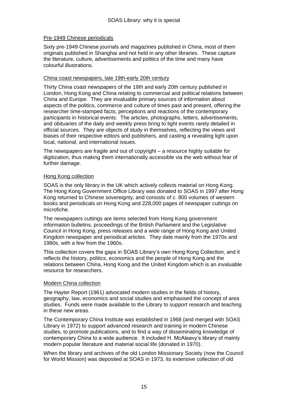#### Pre-1949 Chinese periodicals

Sixty pre-1949 Chinese journals and magazines published in China, most of them originals published in Shanghai and not held in any other libraries. These capture the literature, culture, advertisements and politics of the time and many have colourful illustrations.

#### China coast newspapers, late 19th-early 20th century

Thirty China coast newspapers of the 19th and early 20th century published in London, Hong Kong and China relating to commercial and political relations between China and Europe. They are invaluable primary sources of information about aspects of the politics, commerce and culture of times past and present, offering the researcher time-stamped facts, perceptions and reactions of the contemporary participants in historical events. The articles, photographs, letters, advertisements, and obituaries of the daily and weekly press bring to light events rarely detailed in official sources. They are objects of study in themselves, reflecting the views and biases of their respective editors and publishers, and casting a revealing light upon local, national, and international issues.

The newspapers are fragile and out of copyright – a resource highly suitable for digitization, thus making them internationally accessible via the web without fear of further damage.

#### Hong Kong collection

SOAS is the only library in the UK which actively collects material on Hong Kong. The Hong Kong Government Office Library was donated to SOAS in 1997 after Hong Kong returned to Chinese sovereignty, and consists of c. 800 volumes of western books and periodicals on Hong Kong and 228,000 pages of newspaper cuttings on microfiche.

The newspapers cuttings are items selected from Hong Kong government information bulletins, proceedings of the British Parliament and the Legislative Council in Hong Kong, press releases and a wide range of Hong Kong and United Kingdom newspaper and periodical articles. They date mainly from the 1970s and 1980s, with a few from the 1960s.

This collection covers the gaps in SOAS Library"s own Hong Kong Collection, and it reflects the history, politics, economics and the people of Hong Kong and the relations between China, Hong Kong and the United Kingdom which is an invaluable resource for researchers.

#### Modern China collection

The Hayter Report (1961) advocated modern studies in the fields of history, geography, law, economics and social studies and emphasised the concept of area studies. Funds were made available to the Library to support research and teaching in these new areas.

The Contemporary China Institute was established in 1968 (and merged with SOAS Library in 1972) to support advanced research and training in modern Chinese studies, to promote publications, and to find a way of disseminating knowledge of contemporary China to a wide audience. It included H. McAleavy"s library of mainly modern popular literature and material social life (donated in 1970).

When the library and archives of the old London Missionary Society (now the Council for World Mission) was deposited at SOAS in 1973, its extensive collection of old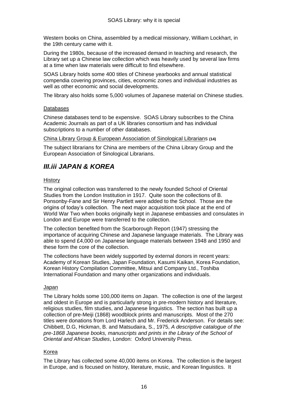Western books on China, assembled by a medical missionary, William Lockhart, in the 19th century came with it.

During the 1980s, because of the increased demand in teaching and research, the Library set up a Chinese law collection which was heavily used by several law firms at a time when law materials were difficult to find elsewhere.

SOAS Library holds some 400 titles of Chinese yearbooks and annual statistical compendia covering provinces, cities, economic zones and individual industries as well as other economic and social developments.

The library also holds some 5,000 volumes of Japanese material on Chinese studies.

#### Databases

Chinese databases tend to be expensive. SOAS Library subscribes to the China Academic Journals as part of a UK libraries consortium and has individual subscriptions to a number of other databases.

China Library Group & European Association of Sinological Librarians **(14)**

The subject librarians for China are members of the China Library Group and the European Association of Sinological Librarians.

# *III.iii JAPAN & KOREA*

#### **History**

The original collection was transferred to the newly founded School of Oriental Studies from the London Institution in 1917. Quite soon the collections of B. Ponsonby-Fane and Sir Henry Partlett were added to the School. Those are the origins of today"s collection. The next major acquisition took place at the end of World War Two when books originally kept in Japanese embassies and consulates in London and Europe were transferred to the collection.

The collection benefited from the Scarborough Report (1947) stressing the importance of acquiring Chinese and Japanese language materials. The Library was able to spend £4,000 on Japanese language materials between 1948 and 1950 and these form the core of the collection.

The collections have been widely supported by external donors in recent years: Academy of Korean Studies, Japan Foundation, Kasumi Kaikan, Korea Foundation, Korean History Compilation Committee, Mitsui and Company Ltd., Toshiba International Foundation and many other organizations and individuals.

#### Japan

The Library holds some 100,000 items on Japan. The collection is one of the largest and oldest in Europe and is particularly strong in pre-modern history and literature, religious studies, film studies, and Japanese linguistics. The section has built up a collection of pre-Meiji (1868) woodblock prints and manuscripts. Most of the 270 titles were donations from Lord Harlech and Mr. Frederick Anderson. For details see: Chibbett, D.G, Hickman, B. and Matsudaira, S., 1975, *A descriptive catalogue of the pre-1868 Japanese books, manuscripts and prints in the Library of the School of Oriental and African Studies*, London: Oxford University Press.

#### Korea

The Library has collected some 40,000 items on Korea. The collection is the largest in Europe, and is focused on history, literature, music, and Korean linguistics. It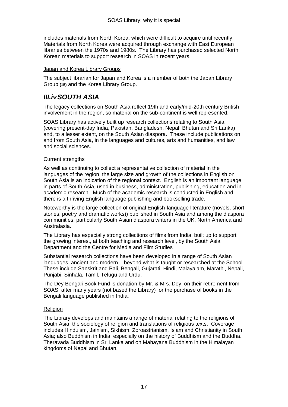includes materials from North Korea, which were difficult to acquire until recently. Materials from North Korea were acquired through exchange with East European libraries between the 1970s and 1980s. The Library has purchased selected North Korean materials to support research in SOAS in recent years.

#### Japan and Korea Library Groups

The subject librarian for Japan and Korea is a member of both the Japan Library Group **(15)** and the Korea Library Group.

### *III.ivSOUTH ASIA*

The legacy collections on South Asia reflect 19th and early/mid-20th century British involvement in the region, so material on the sub-continent is well represented,

SOAS Library has actively built up research collections relating to South Asia (covering present-day India, Pakistan, Bangladesh, Nepal, Bhutan and Sri Lanka) and, to a lesser extent, on the South Asian diaspora. These include publications on and from South Asia, in the languages and cultures, arts and humanities, and law and social sciences.

#### Current strengths

As well as continuing to collect a representative collection of material in the languages of the region, the large size and growth of the collections in English on South Asia is an indication of the regional context. English is an important language in parts of South Asia, used in business, administration, publishing, education and in academic research. Much of the academic research is conducted in English and there is a thriving English language publishing and bookselling trade.

Noteworthy is the large collection of original English-language literature (novels, short stories, poetry and dramatic works)) published in South Asia and among the diaspora communities, particularly South Asian diaspora writers in the UK, North America and Australasia.

The Library has especially strong collections of films from India, built up to support the growing interest, at both teaching and research level, by the South Asia Department and the Centre for Media and Film Studies

Substantial research collections have been developed in a range of South Asian languages, ancient and modern – beyond what is taught or researched at the School. These include Sanskrit and Pali, Bengali, Gujarati, Hindi, Malayalam, Marathi, Nepali, Punjabi, Sinhala, Tamil, Telugu and Urdu.

The Dey Bengali Book Fund is donation by Mr. & Mrs. Dey, on their retirement from SOAS after many years (not based the Library) for the purchase of books in the Bengali language published in India.

#### **Religion**

The Library develops and maintains a range of material relating to the religions of South Asia, the sociology of religion and translations of religious texts. Coverage includes Hinduism, Jainism, Sikhism, Zoroastrianism, Islam and Christianity in South Asia; also Buddhism in India, especially on the history of Buddhism and the Buddha. Theravada Buddhism in Sri Lanka and on Mahayana Buddhism in the Himalayan kingdoms of Nepal and Bhutan.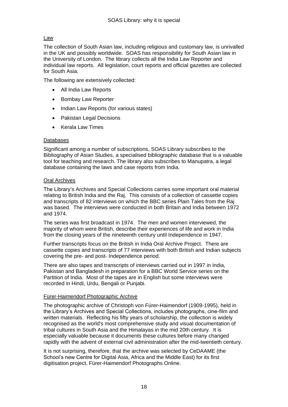#### Law

The collection of South Asian law, including religious and customary law, is unrivalled in the UK and possibly worldwide. SOAS has responsibility for South Asian law in the University of London. The library collects all the India Law Reporter and individual law reports. All legislation, court reports and official gazettes are collected for South Asia.

The following are extensively collected:

- All India Law Reports
- Bombay Law Reporter
- Indian Law Reports (for various states)
- Pakistan Legal Decisions
- Kerala Law Times

#### Databases

Significant among a number of subscriptions, SOAS Library subscribes to the Bibliography of Asian Studies, a specialised bibliographic database that is a valuable tool for teaching and research. The library also subscribes to Manupatra, a legal database containing the laws and case reports from India.

#### Oral Archives

The Library"s Archives and Special Collections carries some important oral material relating to British India and the Raj. This consists of a collection of cassette copies and transcripts of 82 interviews on which the BBC series Plain Tales from the Raj was based. The interviews were conducted in both Britain and India between 1972 and 1974.

The series was first broadcast in 1974. The men and women interviewed, the majority of whom were British, describe their experiences of life and work in India from the closing years of the nineteenth century until Independence in 1947.

Further transcripts focus on the British in India Oral Archive Project. There are cassette copies and transcripts of 77 interviews with both British and Indian subjects covering the pre- and post- Independence period.

There are also tapes and transcripts of interviews carried out in 1997 in India, Pakistan and Bangladesh in preparation for a BBC World Service series on the Partition of India. Most of the tapes are in English but some interviews were recorded in Hindi, Urdu, Bengali or Punjabi.

#### Fürer-Haimendorf Photographic Archive

The photographic archive of Christoph von Fürer-Haimendorf (1909-1995), held in the Library"s Archives and Special Collections, includes photographs, cine-film and written materials. Reflecting his fifty years of scholarship, the collection is widely recognised as the world's most comprehensive study and visual documentation of tribal cultures in South Asia and the Himalayas in the mid 20th century. It is especially valuable because it documents these cultures before many changed rapidly with the advent of external civil administration after the mid-twentieth century.

It is not surprising, therefore, that the archive was selected by CeDAAME (the School"s new Centre for Digital Asia, Africa and the Middle East) for its first digitisation project, Fürer-Haimendorf Photographs Online.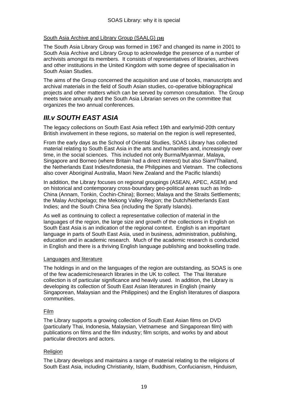#### South Asia Archive and Library Group (SAALG) **(16)**

The South Asia Library Group was formed in 1967 and changed its name in 2001 to South Asia Archive and Library Group to acknowledge the presence of a number of archivists amongst its members. It consists of representatives of libraries, archives and other institutions in the United Kingdom with some degree of specialisation in South Asian Studies.

The aims of the Group concerned the acquisition and use of books, manuscripts and archival materials in the field of South Asian studies, co-operative bibliographical projects and other matters which can be served by common consultation. The Group meets twice annually and the South Asia Librarian serves on the committee that organizes the two annual conferences.

# *III.v SOUTH EAST ASIA*

The legacy collections on South East Asia reflect 19th and early/mid-20th century British involvement in these regions, so material on the region is well represented,

From the early days as the School of Oriental Studies, SOAS Library has collected material relating to South East Asia in the arts and humanities and, increasingly over time, in the social sciences. This included not only Burma/Myanmar, Malaya, Singapore and Borneo (where Britain had a direct interest) but also Siam/Thailand, the Netherlands East Indies/Indonesia, the Philippines and Vietnam. The collections also cover Aboriginal Australia, Maori New Zealand and the Pacific Islands)

In addition, the Library focuses on regional groupings (ASEAN, APEC, ASEM) and on historical and contemporary cross-boundary geo-political areas such as Indo-China (Annam, Tonkin, Cochin-China); Borneo; Malaya and the Straits Settlements; the Malay Archipelago; the Mekong Valley Region; the Dutch/Netherlands East Indies; and the South China Sea (including the Spratly Islands).

As well as continuing to collect a representative collection of material in the languages of the region, the large size and growth of the collections in English on South East Asia is an indication of the regional context. English is an important language in parts of South East Asia, used in business, administration, publishing, education and in academic research. Much of the academic research is conducted in English and there is a thriving English language publishing and bookselling trade.

#### Languages and literature

The holdings in and on the languages of the region are outstanding, as SOAS is one of the few academic/research libraries in the UK to collect. The Thai literature collection is of particular significance and heavily used. In addition, the Library is developing its collection of South East Asian literatures in English (mainly Singaporean, Malaysian and the Philippines) and the English literatures of diaspora communities.

#### Film

The Library supports a growing collection of South East Asian films on DVD (particularly Thai, Indonesia, Malaysian, Vietnamese and Singaporean film) with publications on films and the film industry; film scripts, and works by and about particular directors and actors.

#### Religion

The Library develops and maintains a range of material relating to the religions of South East Asia, including Christianity, Islam, Buddhism, Confucianism, Hinduism,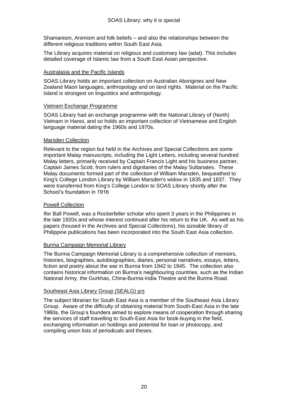Shamanism, Animism and folk beliefs – and also the relationships between the different religious traditions within South East Asia.

The Library acquires material on religious and customary law (adat). This includes detailed coverage of Islamic law from a South East Asian perspective.

#### Australasia and the Pacific Islands

SOAS Library holds an important collection on Australian Aborigines and New Zealand Maori languages, anthropology and on land rights. Material on the Pacific Island is strongest on linguistics and anthropology.

#### Vietnam Exchange Programme

SOAS Library had an exchange programme with the National Library of (North) Vietnam in Hanoi, and so holds an important collection of Vietnamese and English language material dating the 1960s and 1970s.

#### Marsden Collection

Relevant to the region but held in the Archives and Special Collections are some important Malay manuscripts, including the Light Letters, including several hundred Malay letters, primarily received by Captain Francis Light and his business partner, Captain James Scott, from rulers and dignitaries of the Malay Sultanates. These Malay documents formed part of the collection of William Marsden, bequeathed to King's College London Library by William Marsden's widow in 1835 and 1837. They were transferred from King's College London to SOAS Library shortly after the School"s foundation in 1916

#### Powell Collection

Ifor Ball Powell, was a Rockerfeller scholar who spent 3 years in the Philippines in the late 1920s and whose interest continued after his return to the UK. As well as his papers (housed in the Archives and Special Collections), his sizeable library of Philippine publications has been incorporated into the South East Asia collection.

#### Burma Campaign Memorial Library

The Burma Campaign Memorial Library is a comprehensive collection of memoirs, histories, biographies, autobiographies, diaries, personal narratives, essays, letters, fiction and poetry about the war in Burma from 1942 to 1945. The collection also contains historical information on Burma"s neighbouring countries, such as the Indian National Army, the Gurkhas, China-Burma-India Theatre and the Burma Road.

#### Southeast Asia Library Group (SEALG) **(17)**

The subject librarian for South East Asia is a member of the Southeast Asia Library Group. Aware of the difficulty of obtaining material from South-East Asia in the late 1960s, the Group"s founders aimed to explore means of cooperation through sharing the services of staff travelling to South-East Asia for book-buying in the field, exchanging information on holdings and potential for loan or photocopy, and compiling union lists of periodicals and theses.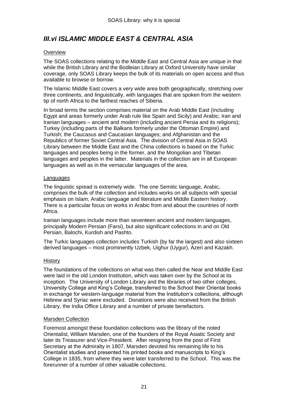# *III.vi ISLAMIC MIDDLE EAST & CENTRAL ASIA*

#### **Overview**

The SOAS collections relating to the Middle East and Central Asia are unique in that while the British Library and the Bodleian Library at Oxford University have similar coverage, only SOAS Library keeps the bulk of its materials on open access and thus available to browse or borrow.

The Islamic Middle East covers a very wide area both geographically, stretching over three continents, and linguistically, with languages that are spoken from the western tip of north Africa to the farthest reaches of Siberia.

In broad terms the section comprises material on the Arab Middle East (including Egypt and areas formerly under Arab rule like Spain and Sicily) and Arabic; Iran and Iranian languages – ancient and modern (including ancient Persia and its religions); Turkey (including parts of the Balkans formerly under the Ottoman Empire) and Turkish; the Caucasus and Caucasian languages; and Afghanistan and the Republics of former Soviet Central Asia. The division of Central Asia in SOAS Library between the Middle East and the China collections is based on the Turkic languages and peoples being in the former, and the Mongolian and Tibetan languages and peoples in the latter. Materials in the collection are in all European languages as well as in the vernacular languages of the area.

#### Languages

The linguistic spread is extremely wide. The one Semitic language, Arabic, comprises the bulk of the collection and includes works on all subjects with special emphasis on Islam, Arabic language and literature and Middle Eastern history. There is a particular focus on works in Arabic from and about the countries of north Africa.

Iranian languages include more than seventeen ancient and modern languages, principally Modern Persian (Farsi), but also significant collections in and on Old Persian, Balochi, Kurdish and Pashto.

The Turkic languages collection includes Turkish (by far the largest) and also sixteen derived languages – most prominently Uzbek, Uighur (Uygur), Azeri and Kazakh.

#### History

The foundations of the collections on what was then called the Near and Middle East were laid in the old London Institution, which was taken over by the School at its inception. The University of London Library and the libraries of two other colleges, University College and King"s College, transferred to the School their Oriental books in exchange for western-language material from the Institution"s collections, although Hebrew and Syriac were excluded. Donations were also received from the British Library, the India Office Library and a number of private benefactors.

#### Marsden Collection

Foremost amongst these foundation collections was the library of the noted Orientalist, William Marsden, one of the founders of the Royal Asiatic Society and later its Treasurer and Vice-President. After resigning from the post of First Secretary at the Admiralty in 1807, Marsden devoted his remaining life to his Orientalist studies and presented his printed books and manuscripts to King"s College in 1835, from where they were later transferred to the School. This was the forerunner of a number of other valuable collections.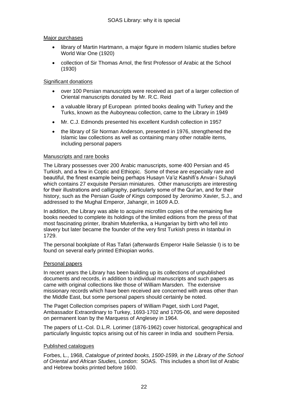#### Major purchases

- library of Martin Hartmann, a major figure in modern Islamic studies before World War One (1920)
- collection of Sir Thomas Arnol, the first Professor of Arabic at the School (1930)

#### Significant donations

- over 100 Persian manuscripts were received as part of a larger collection of Oriental manuscripts donated by Mr. R.C. Reid
- a valuable library pf European printed books dealing with Turkey and the Turks, known as the Auboyneau collection, came to the Library in 1949
- Mr. C.J. Edmonds presented his excellent Kurdish collection in 1957
- the library of Sir Norman Anderson, presented in 1976, strengthened the Islamic law collections as well as containing many other notable items, including personal papers

#### Manuscripts and rare books

The Library possesses over 200 Arabic manuscripts, some 400 Persian and 45 Turkish, and a few in Coptic and Ethiopic. Some of these are especially rare and beautiful, the finest example being perhaps Husayn Va"iz Kashifi"s Anvar-i Suhayli which contains 27 exquisite Persian miniatures. Other manuscripts are interesting for their illustrations and calligraphy, particularly some of the Qur"an, and for their history, such as the Persian *Guide of Kings* composed by Jeronimo Xavier, S.J., and addressed to the Mughal Emperor, Jahangir, in 1609 A.D.

In addition, the Library was able to acquire microfilm copies of the remaining five books needed to complete its holdings of the limited editions from the press of that most fascinating printer, Ibrahim Muteferrika, a Hungarian by birth who fell into slavery but later became the founder of the very first Turkish press in Istanbul in 1729.

The personal bookplate of Ras Tafari (afterwards Emperor Haile Selassie I) is to be found on several early printed Ethiopian works.

#### Personal papers

In recent years the Library has been building up its collections of unpublished documents and records, in addition to individual manuscripts and such papers as came with original collections like those of William Marsden. The extensive missionary records which have been received are concerned with areas other than the Middle East, but some personal papers should certainly be noted.

The Paget Collection comprises papers of William Paget, sixth Lord Paget, Ambassador Extraordinary to Turkey, 1693-1702 and 1705-06, and were deposited on permanent loan by the Marquess of Anglesey in 1964.

The papers of Lt.-Col. D.L.R. Lorimer (1876-1962) cover historical, geographical and particularly linguistic topics arising out of his career in India and southern Persia.

#### Published catalogues

Forbes, L., 1968, *Catalogue of printed books, 1500-1599, in the Library of the School of Oriental and African Studies,* London: SOAS. This includes a short list of Arabic and Hebrew books printed before 1600.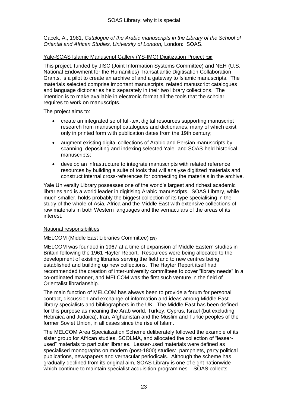Gacek, A., 1981, *Catalogue of the Arabic manuscripts in the Library of the School of Oriental and African Studies, University of London,* London: SOAS.

#### Yale-SOAS Islamic Manuscript Gallery (YS-IMG) Digitization Project **(18)**

This project, funded by JISC (Joint Information Systems Committee) and NEH (U.S. National Endowment for the Humanities) Transatlantic Digitisation Collaboration Grants, is a pilot to create an archive of and a gateway to Islamic manuscripts. The materials selected comprise important manuscripts, related manuscript catalogues and language dictionaries held separately in their two library collections. The intention is to make available in electronic format all the tools that the scholar requires to work on manuscripts.

The project aims to:

- create an integrated se of full-text digital resources supporting manuscript research from manuscript catalogues and dictionaries, many of which exist only in printed form with publication dates from the 19th century;
- augment existing digital collections of Arabic and Persian manuscripts by scanning, depositing and indexing selected Yale- and SOAS-held historical manuscripts;
- develop an infrastructure to integrate manuscripts with related reference resources by building a suite of tools that will analyse digitized materials and construct internal cross-references for connecting the materials in the archive.

Yale University Library possesses one of the world"s largest and richest academic libraries and is a world leader in digitising Arabic manuscripts. SOAS Library, while much smaller, holds probably the biggest collection of its type specialising in the study of the whole of Asia, Africa and the Middle East with extensive collections of raw materials in both Western languages and the vernaculars of the areas of its interest.

#### National responsibilities

#### MELCOM (Middle East Libraries Committee) **(19)**

MELCOM was founded in 1967 at a time of expansion of Middle Eastern studies in Britain following the 1961 Hayter Report. Resources were being allocated to the development of existing libraries serving the field and to new centres being established and building up new collections. The Hayter Report itself had recommended the creation of inter-university committees to cover "library needs" in a co-ordinated manner, and MELCOM was the first such venture in the field of Orientalist librarianship.

The main function of MELCOM has always been to provide a forum for personal contact, discussion and exchange of information and ideas among Middle East library specialists and bibliographers in the UK. The Middle East has been defined for this purpose as meaning the Arab world, Turkey, Cyprus, Israel (but excluding Hebraica and Judaica), Iran, Afghanistan and the Muslim and Turkic peoples of the former Soviet Union, in all cases since the rise of Islam.

The MELCOM Area Specialization Scheme deliberately followed the example of its sister group for African studies, SCOLMA, and allocated the collection of "lesserused" materials to particular libraries. Lesser-used materials were defined as specialised monographs on modern (post-1800) studies: pamphlets, party political publications, newspapers and vernacular periodicals. Although the scheme has gradually declined from its original aim, SOAS Library is one of eight nationwide which continue to maintain specialist acquisition programmes – SOAS collects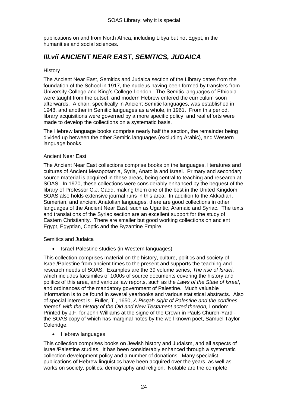publications on and from North Africa, including Libya but not Egypt, in the humanities and social sciences.

# *III.vii ANCIENT NEAR EAST, SEMITICS, JUDAICA*

#### **History**

The Ancient Near East, Semitics and Judaica section of the Library dates from the foundation of the School in 1917, the nucleus having been formed by transfers from University College and King"s College London. The Semitic languages of Ethiopia were taught from the outset, and modern Hebrew entered the curriculum soon afterwards. A chair, specifically in Ancient Semitic languages, was established in 1948, and another in Semitic languages as a whole, in 1961. From this period, library acquisitions were governed by a more specific policy, and real efforts were made to develop the collections on a systematic basis.

The Hebrew language books comprise nearly half the section, the remainder being divided up between the other Semitic languages (excluding Arabic), and Western language books.

#### Ancient Near East

The Ancient Near East collections comprise books on the languages, literatures and cultures of Ancient Mesopotamia, Syria, Anatolia and Israel. Primary and secondary source material is acquired in these areas, being central to teaching and research at SOAS. In 1970, these collections were considerably enhanced by the bequest of the library of Professor C.J. Gadd, making them one of the best in the United Kingdom. SOAS also holds extensive journal runs in this area. In addition to the Akkadian, Sumerian, and ancient Anatolian languages, there are good collections in other languages of the Ancient Near East, such as Ugaritic, Aramaic and Syriac. The texts and translations of the Syriac section are an excellent support for the study of Eastern Christianity. There are smaller but good working collections on ancient Egypt, Egyptian, Coptic and the Byzantine Empire.

#### Semitics and Judaica

• Israel-Palestine studies (in Western languages)

This collection comprises material on the history, culture, politics and society of Israel/Palestine from ancient times to the present and supports the teaching and research needs of SOAS. Examples are the 39 volume series, *The rise of Israel*, which includes facsimiles of 1000s of source documents covering the history and politics of this area, and various law reports, such as the *Laws of the State of Israel*, and ordinances of the mandatory government of Palestine. Much valuable information is to be found in several yearbooks and various statistical abstracts. Also of special interest is: Fuller, T., 1650, *A Pisgah-sight of Palestine and the confines thereof: with the history of the Old and New Testament acted thereon,* London: Printed by J.F. for John Williams at the signe of the Crown in Pauls Church-Yard the SOAS copy of which has marginal notes by the well known poet, Samuel Taylor Coleridge.

• Hebrew languages

This collection comprises books on Jewish history and Judaism, and all aspects of Israel/Palestine studies. It has been considerably enhanced through a systematic collection development policy and a number of donations. Many specialist publications of Hebrew linguistics have been acquired over the years, as well as works on society, politics, demography and religion. Notable are the complete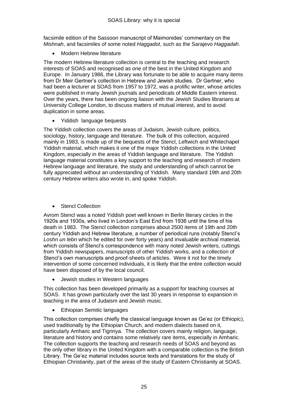facsimile edition of the Sassoon manuscript of Maimonides" commentary on the *Mishnah*, and facsimiles of some noted *Haggadot*, such as the Sarajevo *Haggadah*.

Modern Hebrew literature

The modern Hebrew literature collection is central to the teaching and research interests of SOAS and recognised as one of the best in the United Kingdom and Europe. In January 1986, the Library was fortunate to be able to acquire many items from Dr Meir Gertner"s collection in Hebrew and Jewish studies. Dr Gertner, who had been a lecturer at SOAS from 1957 to 1972, was a prolific writer, whose articles were published in many Jewish journals and periodicals of Middle Eastern interest. Over the years, there has been ongoing liaison with the Jewish Studies librarians at University College London, to discuss matters of mutual interest, and to avoid duplication in some areas.

• Yiddish language bequests

The Yiddish collection covers the areas of Judaism, Jewish culture, politics, sociology, history, language and literature. The bulk of this collection, acquired mainly in 1983, is made up of the bequests of the Stencl, Leftwich and Whitechapel Yiddish material, which makes it one of the major Yiddish collections in the United Kingdom, especially in the areas of Yiddish language and literature. The Yiddish language material constitutes a key support to the teaching and research of modern Hebrew language and literature, the study and understanding of which cannot be fully appreciated without an understanding of Yiddish. Many standard 19th and 20th century Hebrew writers also wrote in, and spoke Yiddish.

Stencl Collection

Avrom Stencl was a noted Yiddish poet well known in Berlin literary circles in the 1920s and 1930s, who lived in London"s East End from 1936 until the time of his death in 1983. The Stencl collection comprises about 2500 items of 19th and 20th century Yiddish and Hebrew literature, a number of periodical runs (notably Stencl"s *Loshn un lebn* which he edited for over forty years) and invaluable archival material, which consists of Stencl's correspondence with many noted Jewish writers, cuttings from Yiddish newspapers, manuscripts of other Yiddish works, and a collection of Stencl"s own manuscripts and proof-sheets of articles. Were it not for the timely intervention of some concerned individuals, it is likely that the entire collection would have been disposed of by the local council.

Jewish studies in Western languages

This collection has been developed primarily as a support for teaching courses at SOAS. It has grown particularly over the last 30 years in response to expansion in teaching in the area of Judaism and Jewish music.

Ethiopian Semitic languages

This collection comprises chiefly the classical language known as Ge"ez (or Ethiopic), used traditionally by the Ethiopian Church, and modern dialects based on it, particularly Amharic and Tigrinya. The collection covers mainly religion, language, literature and history and contains some relatively rare items, especially in Amharic. The collection supports the teaching and research needs of SOAS and beyond as the only other library in the United Kingdom with a comparable collection is the British Library. The Ge"ez material includes source texts and translations for the study of Ethiopian Christianity, part of the areas of the study of Eastern Christianity at SOAS.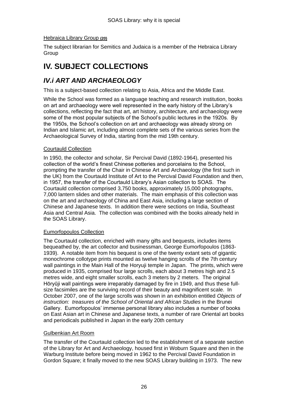#### Hebraica Library Group **(20)**

The subject librarian for Semitics and Judaica is a member of the Hebraica Library Group

# **IV. SUBJECT COLLECTIONS**

# *IV.i ART AND ARCHAEOLOGY*

This is a subject-based collection relating to Asia, Africa and the Middle East.

While the School was formed as a language teaching and research institution, books on art and archaeology were well represented in the early history of the Library"s collections, reflecting the fact that art, art history, architecture, and archaeology were some of the most popular subjects of the School"s public lectures in the 1920s. By the 1950s, the School"s collection on art and archaeology was already strong on Indian and Islamic art, including almost complete sets of the various series from the Archaeological Survey of India, starting from the mid 19th century.

#### Courtauld Collection

In 1950, the collector and scholar, Sir Percival David (1892-1964), presented his collection of the world"s finest Chinese potteries and porcelains to the School, prompting the transfer of the Chair in Chinese Art and Archaeology (the first such in the UK) from the Courtauld Institute of Art to the Percival David Foundation and then, in 1957, the transfer of the Courtauld Library"s Asian collection to SOAS. The Courtauld collection comprised 3,750 books, approximately 15,000 photographs, 7,000 lantern slides and other materials. The main emphasis of this collection was on the art and archaeology of China and East Asia, including a large section of Chinese and Japanese texts. In addition there were sections on India, Southeast Asia and Central Asia. The collection was combined with the books already held in the SOAS Library.

#### Eumorfopoulos Collection

The Courtauld collection, enriched with many gifts and bequests, includes items bequeathed by, the art collector and businessman, George Eumorfopoulos (1863- 1939). A notable item from his bequest is one of the twenty extant sets of gigantic monochrome collotype prints mounted as twelve hanging scrolls of the 7th century wall paintings in the Main Hall of the Horyuji temple in Japan. The prints, which were produced in 1935, comprised four large scrolls, each about 3 metres high and 2.5 metres wide, and eight smaller scrolls, each 3 meters by 2 meters. The original Hōryūji wall paintings were irreparably damaged by fire in 1949, and thus these fullsize facsimiles are the surviving record of their beauty and magnificent scale. In October 2007, one of the large scrolls was shown in an exhibition entitled *Objects of instruction: treasures of the School of Oriental and African Studies* in the Brunei Gallery. Eumorfopoulos" immense personal library also includes a number of books on East Asian art in Chinese and Japanese texts, a number of rare Oriental art books and periodicals published in Japan in the early 20th century

#### Gulbenkian Art Room

The transfer of the Courtauld collection led to the establishment of a separate section of the Library for Art and Archaeology, housed first in Woburn Square and then in the Warburg Institute before being moved in 1962 to the Percival David Foundation in Gordon Square; it finally moved to the new SOAS Library building in 1973. The new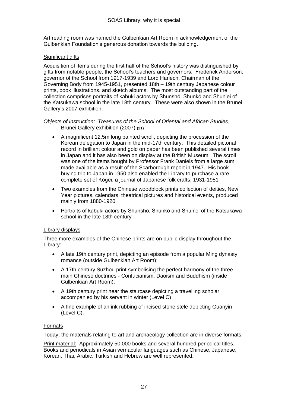Art reading room was named the Gulbenkian Art Room in acknowledgement of the Gulbenkian Foundation"s generous donation towards the building.

#### Significant gifts

Acquisition of items during the first half of the School"s history was distinguished by gifts from notable people, the School"s teachers and governors. Frederick Anderson, governor of the School from 1917-1939 and Lord Harlech, Chairman of the Governing Body from 1945-1951, presented 18th – 19th century Japanese colour prints, book illustrations, and sketch albums. The most outstanding part of the collection comprises portraits of kabuki actors by Shunshō, Shunkō and Shun"ei of the Katsukawa school in the late 18th century. These were also shown in the Brunei Gallery"s 2007 exhibition.

#### *Objects of Instruction: Treasures of the School of Oriental and African Studies*, Brunei Gallery exhibition (2007) **(21)**

- A magnificent 12.5m long painted scroll, depicting the procession of the Korean delegation to Japan in the mid-17th century. This detailed pictorial record in brilliant colour and gold on paper has been published several times in Japan and it has also been on display at the British Museum. The scroll was one of the items bought by Professor Frank Daniels from a large sum made available as a result of the Scarborough report in 1947. His book buying trip to Japan in 1950 also enabled the Library to purchase a rare complete set of Kōgei, a journal of Japanese folk crafts, 1931-1951
- Two examples from the Chinese woodblock prints collection of deities, New Year pictures, calendars, theatrical pictures and historical events, produced mainly from 1880-1920
- Portraits of kabuki actors by Shunshō, Shunkō and Shun"ei of the Katsukawa school in the late 18th century

#### Library displays

Three more examples of the Chinese prints are on public display throughout the Library:

- A late 19th century print, depicting an episode from a popular Ming dynasty romance (outside Gulbenkian Art Room);
- A 17th century Suzhou print symbolising the perfect harmony of the three main Chinese doctrines - Confucianism, Daoism and Buddhism (inside Gulbenkian Art Room);
- A 19th century print near the staircase depicting a travelling scholar accompanied by his servant in winter (Level C)
- A fine example of an ink rubbing of incised stone stele depicting Guanyin (Level C).

#### Formats

Today, the materials relating to art and archaeology collection are in diverse formats.

Print material: Approximately 50,000 books and several hundred periodical titles. Books and periodicals in Asian vernacular languages such as Chinese, Japanese, Korean, Thai, Arabic. Turkish and Hebrew are well represented.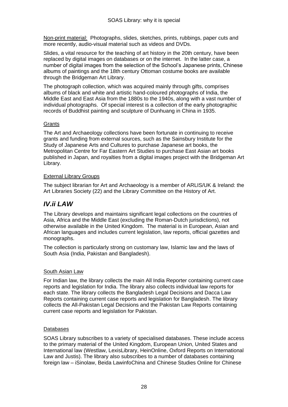Non-print material: Photographs, slides, sketches, prints, rubbings, paper cuts and more recently, audio-visual material such as videos and DVDs.

Slides, a vital resource for the teaching of art history in the 20th century, have been replaced by digital images on databases or on the internet. In the latter case, a number of digital images from the selection of the School"s Japanese prints, Chinese albums of paintings and the 18th century Ottoman costume books are available through the Bridgeman Art Library.

The photograph collection, which was acquired mainly through gifts, comprises albums of black and white and artistic hand-coloured photographs of India, the Middle East and East Asia from the 1880s to the 1940s, along with a vast number of individual photographs. Of special interest is a collection of the early photographic records of Buddhist painting and sculpture of Dunhuang in China in 1935.

#### **Grants**

The Art and Archaeology collections have been fortunate in continuing to receive grants and funding from external sources, such as the Sainsbury Institute for the Study of Japanese Arts and Cultures to purchase Japanese art books, the Metropolitan Centre for Far Eastern Art Studies to purchase East Asian art books published in Japan, and royalties from a digital images project with the Bridgeman Art Library.

#### External Library Groups

The subject librarian for Art and Archaeology is a member of ARLIS/UK & Ireland: the Art Libraries Society (22) and the Library Committee on the History of Art.

## *IV.ii LAW*

The Library develops and maintains significant legal collections on the countries of Asia, Africa and the Middle East (excluding the Roman-Dutch jurisdictions), not otherwise available in the United Kingdom. The material is in European, Asian and African languages and includes current legislation, law reports, official gazettes and monographs.

The collection is particularly strong on customary law, Islamic law and the laws of South Asia (India, Pakistan and Bangladesh).

#### South Asian Law

For Indian law, the library collects the main All India Reporter containing current case reports and legislation for India. The library also collects individual law reports for each state. The library collects the Bangladesh Legal Decisions and Dacca Law Reports containing current case reports and legislation for Bangladesh. The library collects the All-Pakistan Legal Decisions and the Pakistan Law Reports containing current case reports and legislation for Pakistan.

#### Databases

SOAS Library subscribes to a variety of specialised databases. These include access to the primary material of the United Kingdom, European Union, United States and International law (Westlaw, LexisLibrary, HeinOnline, Oxford Reports on International Law and Justis). The library also subscribes to a number of databases containing foreign law – iSinolaw, Beida LawinfoChina and Chinese Studies Online for Chinese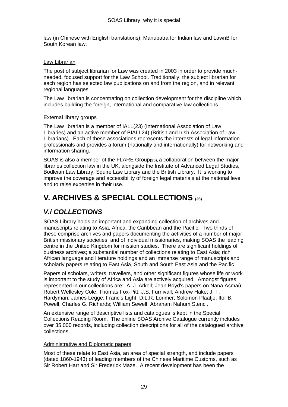law (in Chinese with English translations); Manupatra for Indian law and LawnB for South Korean law.

#### Law Librarian

The post of subject librarian for Law was created in 2003 in order to provide muchneeded, focused support for the Law School. Traditionally, the subject librarian for each region has selected law publications on and from the region, and in relevant regional languages.

The Law librarian is concentrating on collection development for the discipline which includes building the foreign, international and comparative law collections.

#### External library groups

The Law librarian is a member of IALL(23) (International Association of Law Libraries) and an active member of BIALL24) (British and Irish Association of Law Librarians). Each of these associations represents the interests of legal information professionals and provides a forum (nationally and internationally) for networking and information sharing.

SOAS is also a member of the FLARE Group**(25),** a collaboration between the major libraries collection law in the UK, alongside the Institute of Advanced Legal Studies, Bodleian Law Library, Squire Law Library and the British Library. It is working to improve the coverage and accessibility of foreign legal materials at the national level and to raise expertise in their use.

# **V. ARCHIVES & SPECIAL COLLECTIONS (26)**

# *V.i COLLECTIONS*

SOAS Library holds an important and expanding collection of archives and manuscripts relating to Asia, Africa, the Caribbean and the Pacific. Two thirds of these comprise archives and papers documenting the activities of a number of major British missionary societies, and of individual missionaries, making SOAS the leading centre in the United Kingdom for mission studies. There are significant holdings of business archives; a substantial number of collections relating to East Asia; rich African language and literature holdings and an immense range of manuscripts and scholarly papers relating to East Asia, South and South East Asia and the Pacific.

Papers of scholars, writers, travellers, and other significant figures whose life or work is important to the study of Africa and Asia are actively acquired. Amongst figures represented in our collections are: A. J. Arkell; Jean Boyd's papers on Nana Asmaù; Robert Wellesley Cole; Thomas Fox-Pitt; J.S. Furnivall; Andrew Hake; J. T. Hardyman; James Legge; Francis Light; D.L.R. Lorimer; Solomon Plaatje; Ifor B. Powell. Charles G. Richards; William Sewell; Abraham Nahum Stencl.

An extensive range of descriptive lists and catalogues is kept in the Special Collections Reading Room. The online SOAS Archive Catalogue currently includes over 35,000 records, including collection descriptions for all of the catalogued archive collections.

#### Administrative and Diplomatic papers

Most of these relate to East Asia, an area of special strength, and include papers (dated 1860-1943) of leading members of the Chinese Maritime Customs, such as Sir Robert Hart and Sir Frederick Maze. A recent development has been the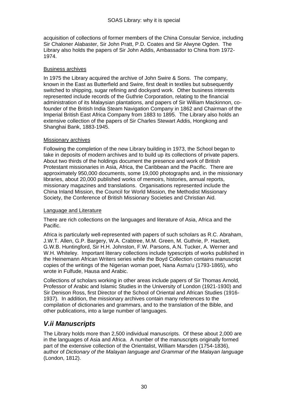acquisition of collections of former members of the China Consular Service, including Sir Chaloner Alabaster, Sir John Pratt, P.D. Coates and Sir Alwyne Ogden. The Library also holds the papers of Sir John Addis, Ambassador to China from 1972- 1974.

#### Business archives

In 1975 the Library acquired the archive of John Swire & Sons. The company, known in the East as Butterfield and Swire, first dealt in textiles but subsequently switched to shipping, sugar refining and dockyard work. Other business interests represented include records of the Guthrie Corporation, relating to the financial administration of its Malaysian plantations, and papers of Sir William Mackinnon, cofounder of the British India Steam Navigation Company in 1862 and Chairman of the Imperial British East Africa Company from 1883 to 1895. The Library also holds an extensive collection of the papers of Sir Charles Stewart Addis, Hongkong and Shanghai Bank, 1883-1945.

#### **Missionary archives**

Following the completion of the new Library building in 1973, the School began to take in deposits of modern archives and to build up its collections of private papers. About two thirds of the holdings document the presence and work of British Protestant missionaries in Asia, Africa, the Caribbean and the Pacific. There are approximately 950,000 documents, some 19,000 photographs and, in the missionary libraries, about 20,000 published works of memoirs, histories, annual reports, missionary magazines and translations. Organisations represented include the China Inland Mission, the Council for World Mission, the Methodist Missionary Society, the Conference of British Missionary Societies and Christian Aid.

#### Language and Literature

There are rich collections on the languages and literature of Asia, Africa and the Pacific.

Africa is particularly well-represented with papers of such scholars as R.C. Abraham, J.W.T. Allen, G.P. Bargery, W.A. Crabtree, M.M. Green, M. Guthrie, P. Hackett, G.W.B. Huntingford, Sir H.H. Johnston, F.W. Parsons, A.N. Tucker, A. Werner and W.H. Whiteley. Important literary collections include typescripts of works published in the Heinemann African Writers series while the Boyd Collection contains manuscript copies of the writings of the Nigerian woman poet, Nana Asma'u (1793-1865), who wrote in Fulfude, Hausa and Arabic.

Collections of scholars working in other areas include papers of Sir Thomas Arnold, Professor of Arabic and Islamic Studies in the University of London (1921-1930) and Sir Denison Ross, first Director of the School of Oriental and African Studies (1916- 1937). In addition, the missionary archives contain many references to the compilation of dictionaries and grammars, and to the translation of the Bible, and other publications, into a large number of languages.

### *V.ii Manuscripts*

The Library holds more than 2,500 individual manuscripts. Of these about 2,000 are in the languages of Asia and Africa. A number of the manuscripts originally formed part of the extensive collection of the Orientalist, William Marsden (1754-1836), author of *Dictionary of the Malayan language and Grammar of the Malayan language* (London, 1812).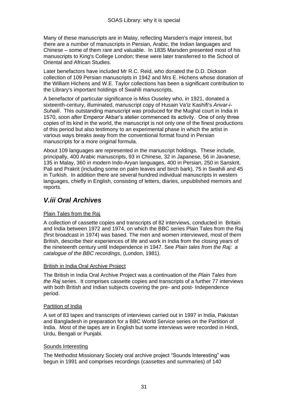Many of these manuscripts are in Malay, reflecting Marsden's major interest, but there are a number of manuscripts in Persian, Arabic, the Indian languages and Chinese – some of them rare and valuable. In 1835 Marsden presented most of his manuscripts to King's College London; these were later transferred to the School of Oriental and African Studies.

Later benefactors have included Mr R.C. Reid, who donated the D.D. Dickson collection of 109 Persian manuscripts in 1942 and Mrs E. Hichens whose donation of the William Hichens and W.E. Taylor collections has been a significant contribution to the Library's important holdings of Swahili manuscripts.

A benefactor of particular significance is Miss Ouseley who, in 1921, donated a sixteenth-century, illuminated, manuscript copy of Husain Va'iz Kashifi's *Anvar-i-Suhaili*. This outstanding manuscript was produced for the Mughal court in India in 1570, soon after Emperor Akbar"s atelier commenced its activity. One of only three copies of its kind in the world, the manuscript is not only one of the finest productions of this period but also testimony to an experimental phase in which the artist in various ways breaks away from the conventional format found in Persian manuscripts for a more original formula.

About 109 languages are represented in the manuscript holdings. These include, principally, 400 Arabic manuscripts, 93 in Chinese, 32 in Japanese, 56 in Javanese, 135 in Malay, 360 in modern Indo-Aryan languages, 400 in Persian, 250 in Sanskrit, Pali and Prakrit (including some on palm leaves and birch bark), 75 in Swahili and 45 in Turkish. In addition there are several hundred individual manuscripts in western languages, chiefly in English, consisting of letters, diaries, unpublished memoirs and reports.

# *V.iii Oral Archives*

#### Plain Tales from the Raj

A collection of cassette copies and transcripts of 82 interviews, conducted in Britain and India between 1972 and 1974, on which the BBC series Plain Tales from the Raj (first broadcast in 1974) was based. The men and women interviewed, most of them British, describe their experiences of life and work in India from the closing years of the nineteenth century until Independence in 1947. See *Plain tales from the Raj: a catalogue of the BBC recordings*, (London, 1981).

#### British in India Oral Archive Project

The British in India Oral Archive Project was a continuation of the *Plain Tales from the Raj* series. It comprises cassette copies and transcripts of a further 77 interviews with both British and Indian subjects covering the pre- and post- Independence period.

#### Partition of India

A set of 83 tapes and transcripts of interviews carried out in 1997 in India, Pakistan and Bangladesh in preparation for a BBC World Service series on the Partition of India. Most of the tapes are in English but some interviews were recorded in Hindi, Urdu, Bengali or Punjabi.

#### Sounds Interesting

The Methodist Missionary Society oral archive project "Sounds Interesting" was begun in 1991 and comprises recordings (cassettes and summaries) of 140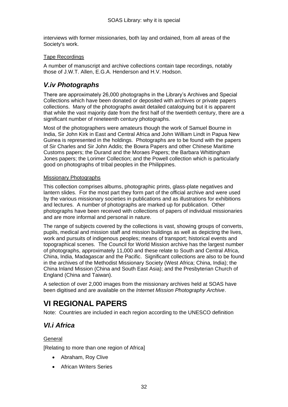interviews with former missionaries, both lay and ordained, from all areas of the Society's work.

#### Tape Recordings

A number of manuscript and archive collections contain tape recordings, notably those of J.W.T. Allen, E.G.A. Henderson and H.V. Hodson.

### *V.iv Photographs*

There are approximately 26,000 photographs in the Library"s Archives and Special Collections which have been donated or deposited with archives or private papers collections. Many of the photographs await detailed cataloguing but it is apparent that while the vast majority date from the first half of the twentieth century, there are a significant number of nineteenth century photographs.

Most of the photographers were amateurs though the work of Samuel Bourne in India, Sir John Kirk in East and Central Africa and John William Lindt in Papua New Guinea is represented in the holdings. Photographs are to be found with the papers of Sir Charles and Sir John Addis; the Bowra Papers and other Chinese Maritime Customs papers; the Durand and the Moraes Papers; the Barbara Whittingham Jones papers; the Lorimer Collection; and the Powell collection which is particularly good on photographs of tribal peoples in the Philippines.

#### Missionary Photographs

This collection comprises albums, photographic prints, glass-plate negatives and lantern slides. For the most part they form part of the official archive and were used by the various missionary societies in publications and as illustrations for exhibitions and lectures. A number of photographs are marked up for publication. Other photographs have been received with collections of papers of individual missionaries and are more informal and personal in nature.

The range of subjects covered by the collections is vast, showing groups of converts, pupils, medical and mission staff and mission buildings as well as depicting the lives, work and pursuits of indigenous peoples; means of transport; historical events and topographical scenes. The Council for World Mission archive has the largest number of photographs, approximately 11,000 and these relate to South and Central Africa, China, India, Madagascar and the Pacific. Significant collections are also to be found in the archives of the Methodist Missionary Society (West Africa; China, India); the China Inland Mission (China and South East Asia); and the Presbyterian Church of England (China and Taiwan).

A selection of over 2,000 images from the missionary archives held at SOAS have been digitised and are available on the *Internet Mission Photography Archive*.

# **VI REGIONAL PAPERS**

Note: Countries are included in each region according to the UNESCO definition

# *VI.i Africa*

#### **General**

[Relating to more than one region of Africa]

- Abraham, Roy Clive
- African Writers Series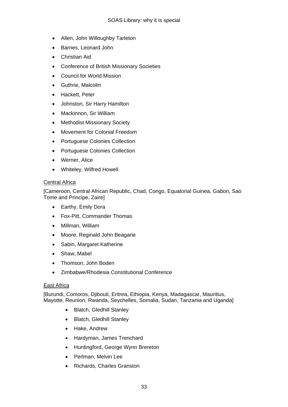- Allen, John Willoughby Tarleton
- Barnes, Leonard John
- Christian Aid
- Conference of British Missionary Societies
- Council for World Mission
- Guthrie, Malcolm
- Hackett, Peter
- Johnston, Sir Harry Hamilton
- Mackinnon, Sir William
- Methodist Missionary Society
- Movement for Colonial Freedom
- Portuguese Colonies Collection
- Portuguese Colonies Collection
- Werner, Alice
- Whiteley, Wilfred Howell

#### Central Africa

[Cameroon, Central African Republic, Chad, Congo, Equatorial Guinea, Gabon, Sao Tome and Principe, Zaire]

- Earthy, Emily Dora
- Fox-Pitt, Commander Thomas
- Millman, William
- Moore, Reginald John Beagarie
- Sabin, Margaret Katherine
- Shaw, Mabel
- Thomson, John Boden
- Zimbabwe/Rhodesia Constitutional Conference

#### East Africa

[Burundi, Comoros, Djibouti, Eritrea, Ethiopia, Kenya, Madagascar, Mauritius, Mayotte, Reunion, Rwanda, Seychelles, Somalia, Sudan, Tanzania and Uganda]

- Blatch, Gledhill Stanley
- Blatch, Gledhill Stanley
- Hake, Andrew
- Hardyman, James Trenchard
- Huntingford, George Wynn Brereton
- Perlman, Melvin Lee
- Richards, Charles Granston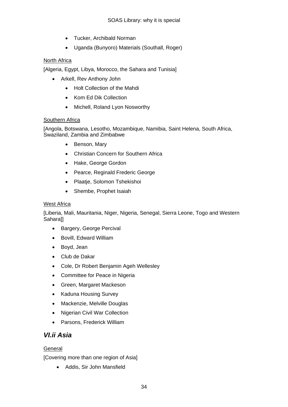- Tucker, Archibald Norman
- Uganda (Bunyoro) Materials (Southall, Roger)

#### North Africa

[Algeria, Egypt, Libya, Morocco, the Sahara and Tunisia]

- Arkell, Rev Anthony John
	- Holt Collection of the Mahdi
	- Kom Ed Dik Collection
	- Michell, Roland Lyon Nosworthy

#### Southern Africa

[Angola, Botswana, Lesotho, Mozambique, Namibia, Saint Helena, South Africa, Swaziland, Zambia and Zimbabwe

- Benson, Mary
- Christian Concern for Southern Africa
- Hake, George Gordon
- Pearce, Reginald Frederic George
- Plaatje, Solomon Tshekishoi
- Shembe, Prophet Isaiah

#### West Africa

[Liberia, Mali, Mauritania, Niger, Nigeria, Senegal, Sierra Leone, Togo and Western Sahara]]

- Bargery, George Percival
- Bovill, Edward William
- Boyd, Jean
- Club de Dakar
- Cole, Dr Robert Benjamin Ageh Wellesley
- Committee for Peace in Nigeria
- Green, Margaret Mackeson
- Kaduna Housing Survev
- Mackenzie, Melville Douglas
- Nigerian Civil War Collection
- Parsons, Frederick William

## *VI.ii Asia*

#### General

[Covering more than one region of Asia]

Addis, Sir John Mansfield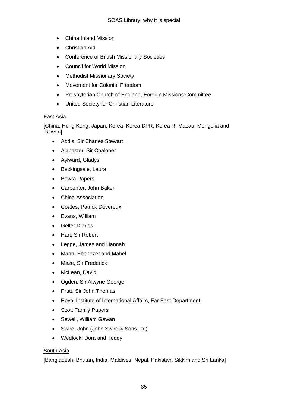- China Inland Mission
- Christian Aid
- Conference of British Missionary Societies
- Council for World Mission
- Methodist Missionary Society
- Movement for Colonial Freedom
- Presbyterian Church of England, Foreign Missions Committee
- United Society for Christian Literature

#### East Asia

[China, Hong Kong, Japan, Korea, Korea DPR, Korea R, Macau, Mongolia and Taiwan]

- Addis, Sir Charles Stewart
- Alabaster, Sir Chaloner
- Aylward, Gladys
- Beckingsale, Laura
- Bowra Papers
- Carpenter, John Baker
- China Association
- Coates, Patrick Devereux
- Evans, William
- Geller Diaries
- Hart, Sir Robert
- Legge, James and Hannah
- Mann, Ebenezer and Mabel
- Maze, Sir Frederick
- McLean, David
- Ogden, Sir Alwyne George
- Pratt, Sir John Thomas
- Royal Institute of International Affairs, Far East Department
- Scott Family Papers
- Sewell, William Gawan
- Swire, John (John Swire & Sons Ltd)
- Wedlock, Dora and Teddy

#### South Asia

[Bangladesh, Bhutan, India, Maldives, Nepal, Pakistan, Sikkim and Sri Lanka]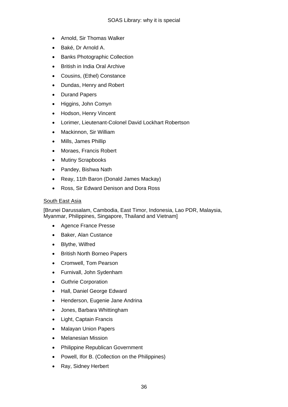- Arnold, Sir Thomas Walker
- Baké, Dr Arnold A.
- Banks Photographic Collection
- British in India Oral Archive
- Cousins, (Ethel) Constance
- Dundas, Henry and Robert
- Durand Papers
- Higgins, John Comyn
- Hodson, Henry Vincent
- Lorimer, Lieutenant-Colonel David Lockhart Robertson
- Mackinnon, Sir William
- Mills, James Phillip
- Moraes, Francis Robert
- Mutiny Scrapbooks
- Pandey, Bishwa Nath
- Reay, 11th Baron (Donald James Mackay)
- Ross, Sir Edward Denison and Dora Ross

#### South East Asia

[Brunei Darussalam, Cambodia, East Timor, Indonesia, Lao PDR, Malaysia, Myanmar, Philippines, Singapore, Thailand and Vietnam]

- Agence France Presse
- Baker, Alan Custance
- Blythe, Wilfred
- British North Borneo Papers
- Cromwell, Tom Pearson
- Furnivall, John Sydenham
- Guthrie Corporation
- Hall, Daniel George Edward
- Henderson, Eugenie Jane Andrina
- Jones, Barbara Whittingham
- Light, Captain Francis
- Malayan Union Papers
- Melanesian Mission
- Philippine Republican Government
- Powell, Ifor B. (Collection on the Philippines)
- Ray, Sidney Herbert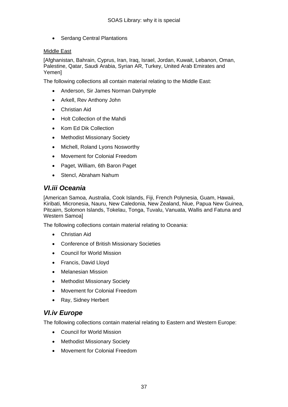• Serdang Central Plantations

#### Middle East

[Afghanistan, Bahrain, Cyprus, Iran, Iraq, Israel, Jordan, Kuwait, Lebanon, Oman, Palestine, Qatar, Saudi Arabia, Syrian AR, Turkey, United Arab Emirates and Yemen]

The following collections all contain material relating to the Middle East:

- Anderson, Sir James Norman Dalrymple
- Arkell, Rev Anthony John
- Christian Aid
- Holt Collection of the Mahdi
- Kom Ed Dik Collection
- Methodist Missionary Society
- Michell, Roland Lyons Nosworthy
- Movement for Colonial Freedom
- Paget, William, 6th Baron Paget
- Stencl, Abraham Nahum

### *VI.iii Oceania*

[American Samoa, Australia, Cook Islands, Fiji, French Polynesia, Guam, Hawaii, Kiribati, Micronesia, Nauru, New Caledonia, New Zealand, Niue, Papua New Guinea, Pitcairn, Solomon Islands, Tokelau, Tonga, Tuvalu, Vanuata, Wallis and Fatuna and Western Samoa]

The following collections contain material relating to Oceania:

- Christian Aid
- Conference of British Missionary Societies
- Council for World Mission
- Francis, David Lloyd
- Melanesian Mission
- Methodist Missionary Society
- Movement for Colonial Freedom
- Ray, Sidney Herbert

## *VI.iv Europe*

The following collections contain material relating to Eastern and Western Europe:

- Council for World Mission
- Methodist Missionary Society
- Movement for Colonial Freedom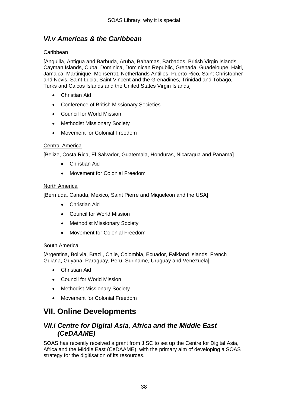# *VI.v Americas & the Caribbean*

#### Caribbean

[Anguilla, Antigua and Barbuda, Aruba, Bahamas, Barbados, British Virgin Islands, Cayman Islands, Cuba, Dominica, Dominican Republic, Grenada, Guadeloupe, Haiti, Jamaica, Martinique, Monserrat, Netherlands Antilles, Puerto Rico, Saint Christopher and Nevis, Saint Lucia, Saint Vincent and the Grenadines, Trinidad and Tobago, Turks and Caicos Islands and the United States Virgin Islands]

- Christian Aid
- Conference of British Missionary Societies
- Council for World Mission
- Methodist Missionary Society
- Movement for Colonial Freedom

#### Central America

[Belize, Costa Rica, El Salvador, Guatemala, Honduras, Nicaragua and Panama]

- Christian Aid
- Movement for Colonial Freedom

#### North America

[Bermuda, Canada, Mexico, Saint Pierre and Miqueleon and the USA]

- Christian Aid
- Council for World Mission
- Methodist Missionary Society
- Movement for Colonial Freedom

#### South America

[Argentina, Bolivia, Brazil, Chile, Colombia, Ecuador, Falkland Islands, French Guiana, Guyana, Paraguay, Peru, Suriname, Uruguay and Venezuela].

- Christian Aid
- Council for World Mission
- Methodist Missionary Society
- Movement for Colonial Freedom

# **VII. Online Developments**

### *VII.i Centre for Digital Asia, Africa and the Middle East (CeDAAME)*

SOAS has recently received a grant from JISC to set up the Centre for Digital Asia, Africa and the Middle East (CeDAAME), with the primary aim of developing a SOAS strategy for the digitisation of its resources.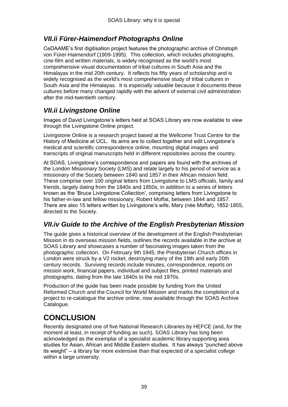# *VII.ii Fürer-Haimendorf Photographs Online*

CeDAAME"s first digitisation project features the photographic archive of Christoph von Fürer-Haimendorf (1909-1995). This collection, which includes photographs, cine-film and written materials, is widely recognised as the world's most comprehensive visual documentation of tribal cultures in South Asia and the Himalayas in the mid 20th century. It reflects his fifty years of scholarship and is widely recognised as the world's most comprehensive study of tribal cultures in South Asia and the Himalayas. It is especially valuable because it documents these cultures before many changed rapidly with the advent of external civil administration after the mid-twentieth century.

# *VII.ii Livingstone Online*

Images of David Livingstone"s letters held at SOAS Library are now available to view through the Livingstone Online project.

Livingstone Online is a research project based at the Wellcome Trust Centre for the History of Medicine at UCL. Its aims are to collect together and edit Livingstone"s medical and scientific correspondence online, mounting digital images and transcripts of original manuscripts held in different repositories across the country.

At SOAS, Livingstone"s correspondence and papers are found with the archives of the London Missionary Society (LMS) and relate largely to his period of service as a missionary of the Society between 1840 and 1857 in their African mission field. These comprise over 100 original letters from Livingstone to LMS officials, family and friends, largely dating from the 1840s and 1850s, in addition to a series of letters known as the "Bruce Livingstone Collection", comprising letters from Livingstone to his father-in-law and fellow missionary, Robert Moffat, between 1844 and 1857. There are also 15 letters written by Livingstone"s wife, Mary (née Moffat), 1852-1855, directed to the Society.

## *VII.iv Guide to the Archive of the English Presbyterian Mission*

The guide gives a historical overview of the development of the English Presbyterian Mission in its overseas mission fields, outlines the records available in the archive at SOAS Library and showcases a number of fascinating images taken from the photographic collection. On February 9th 1945, the Presbyterian Church offices in London were struck by a V2 rocket, destroying many of the 19th and early 20th century records. Surviving records include minutes, correspondence, reports on mission work, financial papers, individual and subject files, printed materials and photographs, dating from the late 1840s to the mid 1970s.

Production of the guide has been made possible by funding from the United Reformed Church and the Council for World Mission and marks the completion of a project to re-catalogue the archive online, now available through the SOAS Archive Catalogue.

# **CONCLUSION**

Recently designated one of five National Research Libraries by HEFCE (and, for the moment at least, in receipt of funding as such), SOAS Library has long been acknowledged as the exemplar of a specialist academic library supporting area studies for Asian, African and Middle Eastern studies. It has always "punched above its weight" – a library far more extensive than that expected of a specialist college within a large university.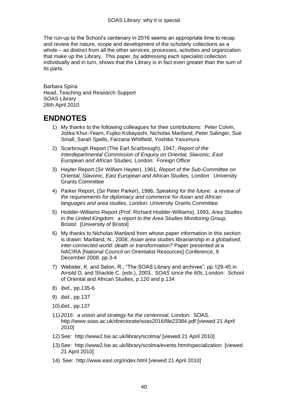The run-up to the School"s centenary in 2016 seems an appropriate time to recap and review the nature, scope and development of the scholarly collections as a whole – as distinct from all the other services, processes, activities and organization that make up the Library. This paper, by addressing each specialist collection individually and in turn, shows that the Library is in fact even greater than the sum of its parts.

Barbara Spina Head, Teaching and Research Support SOAS Library 26th April 2010

# **ENDNOTES**

- 1) My thanks to the following colleagues for their contributions: Peter Colvin, Jotika Khur-Yearn, Fujiko Kobayashi, Nicholas Martland, Peter Salinger, Sue Small, Sarah Spells, Farzana Whitfield, Yoshiko Yasumura.
- 2) Scarbrough Report (The Earl Scarbrough), 1947, *Report of the Interdepartmental Commission of Enquiry on Oriental, Slavonic, East European and African Studies,* London: Foreign Office
- 3) Hayter Report (Sir William Hayter), 1961, *Report of the Sub-Committee on Oriental, Slavonic, East European and African Studies,* London: University Grants Committee
- 4) Parker Report, (Sir Peter Parker), 1986, *Speaking for the future: a review of the requirements for diplomacy and commerce for Asian and African languages and area studies,* London: University Grants Committee
- 5) Hodder-Williams Report (Prof. Richard Hodder-Williams), 1993, *Area Studies in the United Kingdom: a report to the Area Studies Monitoring Group,* Bristol: [University of Bristol]
- 6) My thanks to Nicholas Martland from whose paper information in this section is drawn: Martland, N., 2008, *Asian area studies librarianship in a globalised, inter-connected world: death or transformation?* Paper presented at a NACIRA [National Council on Orientalist Resources] Conference, 9 December 2008. pp.3-4
- 7) Webster, K. and Seton, R., "The SOAS Library and archives", pp.129-45 in Arnold D. and Shackle C. (eds.), 2003. *SOAS since the 60s,* London: School of Oriental and African Studies, p.120 and p.134
- 8) *ibid*., pp.135-6
- 9) *ibid*., pp.137
- 10) *ibid*., pp.137
- 11) *2016: a vision and strategy for the centennial*, London: SOAS. http://www.soas.ac.uk/directorate/soas2016/file23384.pdf [viewed 21 April 2010]
- 12) See: http://www2.lse.ac.uk/library/scolma/ [viewed 21 April 2010]
- 13) See: http://www2.lse.ac.uk/library/scolma/events.htm#specialization [viewed 21 April 2010]
- 14) See: http://www.easl.org/index.html [viewed 21 April 2010]